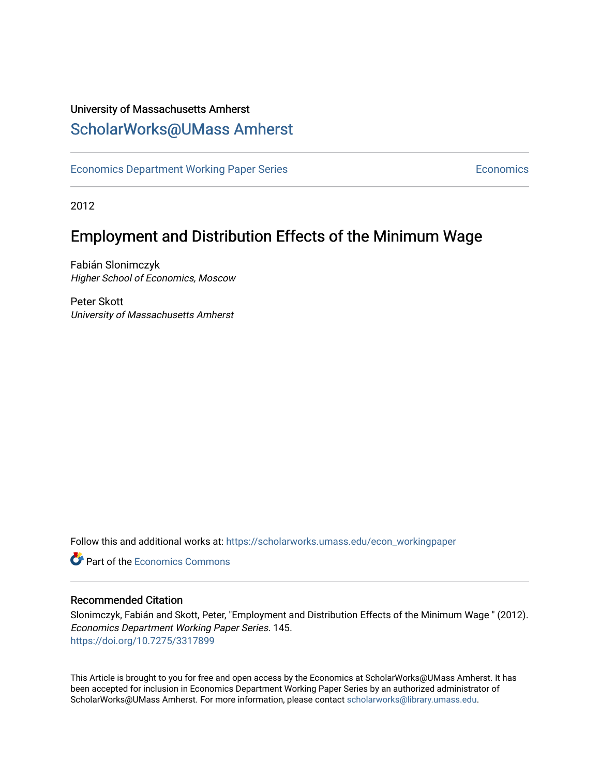### University of Massachusetts Amherst [ScholarWorks@UMass Amherst](https://scholarworks.umass.edu/)

[Economics Department Working Paper Series](https://scholarworks.umass.edu/econ_workingpaper) **Economics** Economics

2012

## Employment and Distribution Effects of the Minimum Wage

Fabián Slonimczyk Higher School of Economics, Moscow

Peter Skott University of Massachusetts Amherst

Follow this and additional works at: [https://scholarworks.umass.edu/econ\\_workingpaper](https://scholarworks.umass.edu/econ_workingpaper?utm_source=scholarworks.umass.edu%2Fecon_workingpaper%2F145&utm_medium=PDF&utm_campaign=PDFCoverPages) 

**C** Part of the [Economics Commons](http://network.bepress.com/hgg/discipline/340?utm_source=scholarworks.umass.edu%2Fecon_workingpaper%2F145&utm_medium=PDF&utm_campaign=PDFCoverPages)

#### Recommended Citation

Slonimczyk, Fabián and Skott, Peter, "Employment and Distribution Effects of the Minimum Wage " (2012). Economics Department Working Paper Series. 145. <https://doi.org/10.7275/3317899>

This Article is brought to you for free and open access by the Economics at ScholarWorks@UMass Amherst. It has been accepted for inclusion in Economics Department Working Paper Series by an authorized administrator of ScholarWorks@UMass Amherst. For more information, please contact [scholarworks@library.umass.edu.](mailto:scholarworks@library.umass.edu)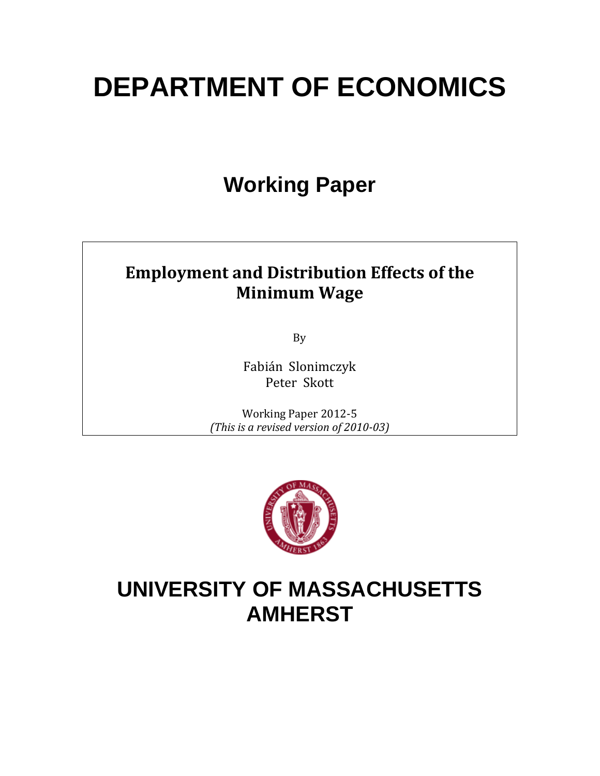# **DEPARTMENT OF ECONOMICS**

## **Working Paper**

## **Employment and Distribution Effects of the Minimum Wage**

By 

Fabián Slonimczyk Peter Skott

Working Paper 2012-5 *(This is a revised version of 2010‐03)*



## **UNIVERSITY OF MASSACHUSETTS AMHERST**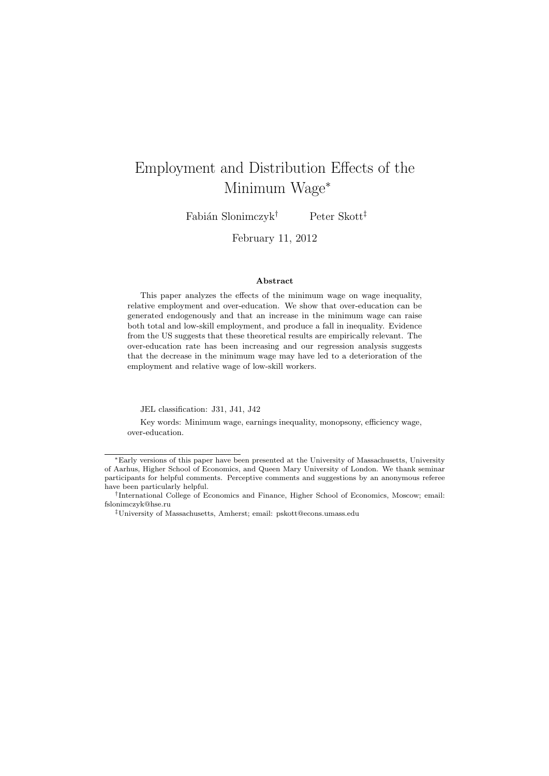## Employment and Distribution Effects of the Minimum Wage<sup>∗</sup>

Fabián Slonimczyk<sup>†</sup> Peter Skott<sup>‡</sup>

February 11, 2012

#### Abstract

This paper analyzes the effects of the minimum wage on wage inequality, relative employment and over-education. We show that over-education can be generated endogenously and that an increase in the minimum wage can raise both total and low-skill employment, and produce a fall in inequality. Evidence from the US suggests that these theoretical results are empirically relevant. The over-education rate has been increasing and our regression analysis suggests that the decrease in the minimum wage may have led to a deterioration of the employment and relative wage of low-skill workers.

JEL classification: J31, J41, J42

Key words: Minimum wage, earnings inequality, monopsony, efficiency wage, over-education.

<sup>∗</sup>Early versions of this paper have been presented at the University of Massachusetts, University of Aarhus, Higher School of Economics, and Queen Mary University of London. We thank seminar participants for helpful comments. Perceptive comments and suggestions by an anonymous referee have been particularly helpful.

<sup>†</sup> International College of Economics and Finance, Higher School of Economics, Moscow; email: fslonimczyk@hse.ru

<sup>‡</sup>University of Massachusetts, Amherst; email: pskott@econs.umass.edu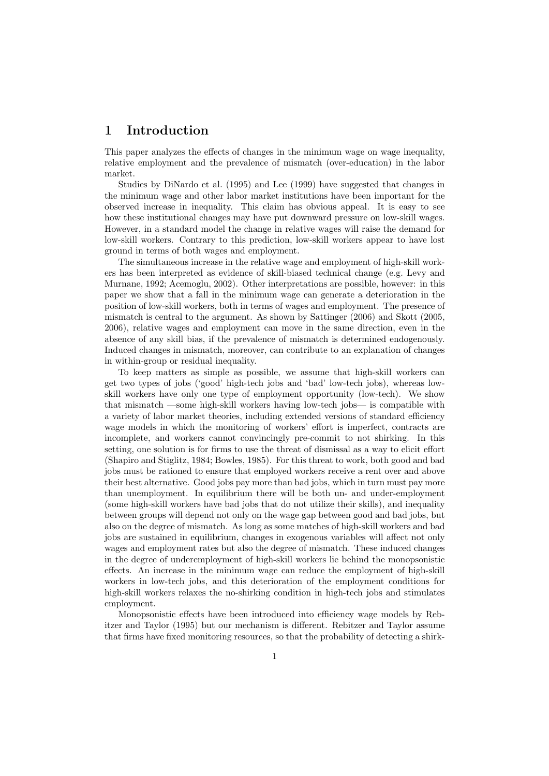#### 1 Introduction

This paper analyzes the effects of changes in the minimum wage on wage inequality, relative employment and the prevalence of mismatch (over-education) in the labor market.

Studies by DiNardo et al. (1995) and Lee (1999) have suggested that changes in the minimum wage and other labor market institutions have been important for the observed increase in inequality. This claim has obvious appeal. It is easy to see how these institutional changes may have put downward pressure on low-skill wages. However, in a standard model the change in relative wages will raise the demand for low-skill workers. Contrary to this prediction, low-skill workers appear to have lost ground in terms of both wages and employment.

The simultaneous increase in the relative wage and employment of high-skill workers has been interpreted as evidence of skill-biased technical change (e.g. Levy and Murnane, 1992; Acemoglu, 2002). Other interpretations are possible, however: in this paper we show that a fall in the minimum wage can generate a deterioration in the position of low-skill workers, both in terms of wages and employment. The presence of mismatch is central to the argument. As shown by Sattinger (2006) and Skott (2005, 2006), relative wages and employment can move in the same direction, even in the absence of any skill bias, if the prevalence of mismatch is determined endogenously. Induced changes in mismatch, moreover, can contribute to an explanation of changes in within-group or residual inequality.

To keep matters as simple as possible, we assume that high-skill workers can get two types of jobs ('good' high-tech jobs and 'bad' low-tech jobs), whereas lowskill workers have only one type of employment opportunity (low-tech). We show that mismatch —some high-skill workers having low-tech jobs— is compatible with a variety of labor market theories, including extended versions of standard efficiency wage models in which the monitoring of workers' effort is imperfect, contracts are incomplete, and workers cannot convincingly pre-commit to not shirking. In this setting, one solution is for firms to use the threat of dismissal as a way to elicit effort (Shapiro and Stiglitz, 1984; Bowles, 1985). For this threat to work, both good and bad jobs must be rationed to ensure that employed workers receive a rent over and above their best alternative. Good jobs pay more than bad jobs, which in turn must pay more than unemployment. In equilibrium there will be both un- and under-employment (some high-skill workers have bad jobs that do not utilize their skills), and inequality between groups will depend not only on the wage gap between good and bad jobs, but also on the degree of mismatch. As long as some matches of high-skill workers and bad jobs are sustained in equilibrium, changes in exogenous variables will affect not only wages and employment rates but also the degree of mismatch. These induced changes in the degree of underemployment of high-skill workers lie behind the monopsonistic effects. An increase in the minimum wage can reduce the employment of high-skill workers in low-tech jobs, and this deterioration of the employment conditions for high-skill workers relaxes the no-shirking condition in high-tech jobs and stimulates employment.

Monopsonistic effects have been introduced into efficiency wage models by Rebitzer and Taylor (1995) but our mechanism is different. Rebitzer and Taylor assume that firms have fixed monitoring resources, so that the probability of detecting a shirk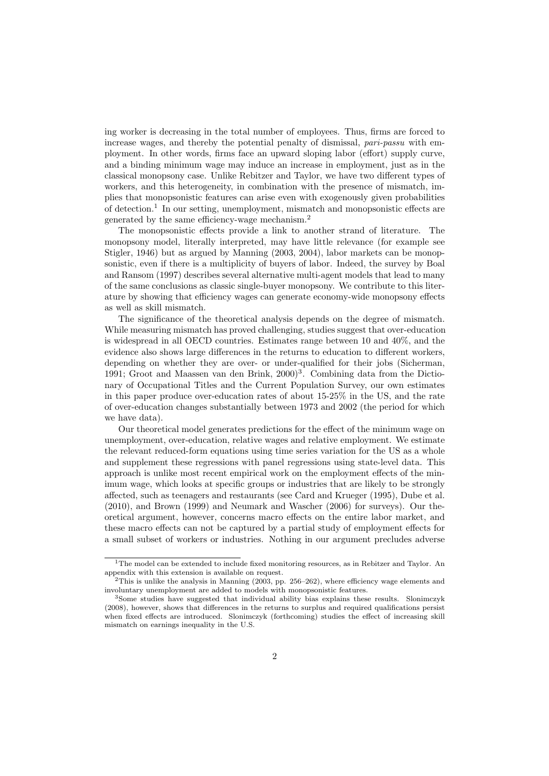ing worker is decreasing in the total number of employees. Thus, firms are forced to increase wages, and thereby the potential penalty of dismissal, pari-passu with employment. In other words, firms face an upward sloping labor (effort) supply curve, and a binding minimum wage may induce an increase in employment, just as in the classical monopsony case. Unlike Rebitzer and Taylor, we have two different types of workers, and this heterogeneity, in combination with the presence of mismatch, implies that monopsonistic features can arise even with exogenously given probabilities of detection.<sup>1</sup> In our setting, unemployment, mismatch and monopsonistic effects are generated by the same efficiency-wage mechanism.<sup>2</sup>

The monopsonistic effects provide a link to another strand of literature. The monopsony model, literally interpreted, may have little relevance (for example see Stigler, 1946) but as argued by Manning (2003, 2004), labor markets can be monopsonistic, even if there is a multiplicity of buyers of labor. Indeed, the survey by Boal and Ransom (1997) describes several alternative multi-agent models that lead to many of the same conclusions as classic single-buyer monopsony. We contribute to this literature by showing that efficiency wages can generate economy-wide monopsony effects as well as skill mismatch.

The significance of the theoretical analysis depends on the degree of mismatch. While measuring mismatch has proved challenging, studies suggest that over-education is widespread in all OECD countries. Estimates range between 10 and 40%, and the evidence also shows large differences in the returns to education to different workers, depending on whether they are over- or under-qualified for their jobs (Sicherman, 1991; Groot and Maassen van den Brink, 2000)<sup>3</sup>. Combining data from the Dictionary of Occupational Titles and the Current Population Survey, our own estimates in this paper produce over-education rates of about 15-25% in the US, and the rate of over-education changes substantially between 1973 and 2002 (the period for which we have data).

Our theoretical model generates predictions for the effect of the minimum wage on unemployment, over-education, relative wages and relative employment. We estimate the relevant reduced-form equations using time series variation for the US as a whole and supplement these regressions with panel regressions using state-level data. This approach is unlike most recent empirical work on the employment effects of the minimum wage, which looks at specific groups or industries that are likely to be strongly affected, such as teenagers and restaurants (see Card and Krueger (1995), Dube et al. (2010), and Brown (1999) and Neumark and Wascher (2006) for surveys). Our theoretical argument, however, concerns macro effects on the entire labor market, and these macro effects can not be captured by a partial study of employment effects for a small subset of workers or industries. Nothing in our argument precludes adverse

<sup>&</sup>lt;sup>1</sup>The model can be extended to include fixed monitoring resources, as in Rebitzer and Taylor. An appendix with this extension is available on request.

 $2$ This is unlike the analysis in Manning (2003, pp. 256–262), where efficiency wage elements and involuntary unemployment are added to models with monopsonistic features.

<sup>3</sup>Some studies have suggested that individual ability bias explains these results. Slonimczyk (2008), however, shows that differences in the returns to surplus and required qualifications persist when fixed effects are introduced. Slonimczyk (forthcoming) studies the effect of increasing skill mismatch on earnings inequality in the U.S.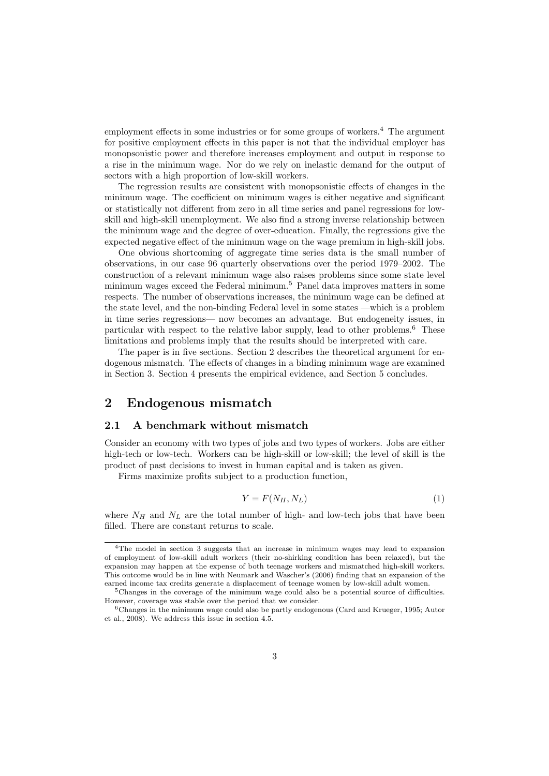employment effects in some industries or for some groups of workers.<sup>4</sup> The argument for positive employment effects in this paper is not that the individual employer has monopsonistic power and therefore increases employment and output in response to a rise in the minimum wage. Nor do we rely on inelastic demand for the output of sectors with a high proportion of low-skill workers.

The regression results are consistent with monopsonistic effects of changes in the minimum wage. The coefficient on minimum wages is either negative and significant or statistically not different from zero in all time series and panel regressions for lowskill and high-skill unemployment. We also find a strong inverse relationship between the minimum wage and the degree of over-education. Finally, the regressions give the expected negative effect of the minimum wage on the wage premium in high-skill jobs.

One obvious shortcoming of aggregate time series data is the small number of observations, in our case 96 quarterly observations over the period 1979–2002. The construction of a relevant minimum wage also raises problems since some state level minimum wages exceed the Federal minimum.<sup>5</sup> Panel data improves matters in some respects. The number of observations increases, the minimum wage can be defined at the state level, and the non-binding Federal level in some states —which is a problem in time series regressions— now becomes an advantage. But endogeneity issues, in particular with respect to the relative labor supply, lead to other problems.<sup>6</sup> These limitations and problems imply that the results should be interpreted with care.

The paper is in five sections. Section 2 describes the theoretical argument for endogenous mismatch. The effects of changes in a binding minimum wage are examined in Section 3. Section 4 presents the empirical evidence, and Section 5 concludes.

#### 2 Endogenous mismatch

#### 2.1 A benchmark without mismatch

Consider an economy with two types of jobs and two types of workers. Jobs are either high-tech or low-tech. Workers can be high-skill or low-skill; the level of skill is the product of past decisions to invest in human capital and is taken as given.

Firms maximize profits subject to a production function,

$$
Y = F(N_H, N_L) \tag{1}
$$

where  $N_H$  and  $N_L$  are the total number of high- and low-tech jobs that have been filled. There are constant returns to scale.

<sup>4</sup>The model in section 3 suggests that an increase in minimum wages may lead to expansion of employment of low-skill adult workers (their no-shirking condition has been relaxed), but the expansion may happen at the expense of both teenage workers and mismatched high-skill workers. This outcome would be in line with Neumark and Wascher's (2006) finding that an expansion of the earned income tax credits generate a displacement of teenage women by low-skill adult women.

<sup>&</sup>lt;sup>5</sup>Changes in the coverage of the minimum wage could also be a potential source of difficulties. However, coverage was stable over the period that we consider.

<sup>6</sup>Changes in the minimum wage could also be partly endogenous (Card and Krueger, 1995; Autor et al., 2008). We address this issue in section 4.5.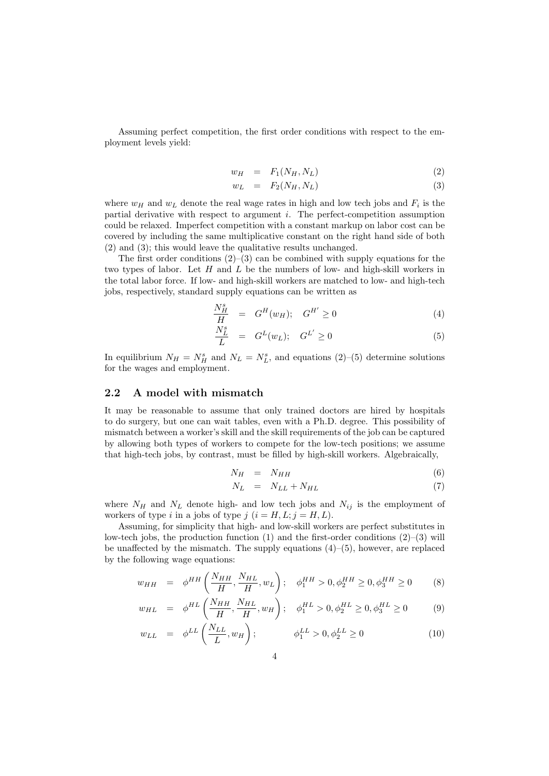Assuming perfect competition, the first order conditions with respect to the employment levels yield:

$$
w_H = F_1(N_H, N_L) \tag{2}
$$

$$
w_L = F_2(N_H, N_L) \tag{3}
$$

where  $w_H$  and  $w_L$  denote the real wage rates in high and low tech jobs and  $F_i$  is the partial derivative with respect to argument i. The perfect-competition assumption could be relaxed. Imperfect competition with a constant markup on labor cost can be covered by including the same multiplicative constant on the right hand side of both (2) and (3); this would leave the qualitative results unchanged.

The first order conditions  $(2)$ – $(3)$  can be combined with supply equations for the two types of labor. Let  $H$  and  $L$  be the numbers of low- and high-skill workers in the total labor force. If low- and high-skill workers are matched to low- and high-tech jobs, respectively, standard supply equations can be written as

$$
\frac{N_H^s}{H} = G^H(w_H); \quad G^{H'} \ge 0 \tag{4}
$$

$$
\frac{N_L^s}{L} = G^L(w_L); \quad G^{L'} \ge 0 \tag{5}
$$

In equilibrium  $N_H = N_H^s$  and  $N_L = N_L^s$ , and equations (2)–(5) determine solutions for the wages and employment.

#### 2.2 A model with mismatch

It may be reasonable to assume that only trained doctors are hired by hospitals to do surgery, but one can wait tables, even with a Ph.D. degree. This possibility of mismatch between a worker's skill and the skill requirements of the job can be captured by allowing both types of workers to compete for the low-tech positions; we assume that high-tech jobs, by contrast, must be filled by high-skill workers. Algebraically,

$$
N_H = N_{HH} \tag{6}
$$

$$
N_L = N_{LL} + N_{HL} \tag{7}
$$

where  $N_H$  and  $N_L$  denote high- and low tech jobs and  $N_{ij}$  is the employment of workers of type i in a jobs of type j  $(i = H, L; j = H, L)$ .

Assuming, for simplicity that high- and low-skill workers are perfect substitutes in low-tech jobs, the production function  $(1)$  and the first-order conditions  $(2)-(3)$  will be unaffected by the mismatch. The supply equations  $(4)$ – $(5)$ , however, are replaced by the following wage equations:

$$
w_{HH} = \phi^{HH} \left( \frac{N_{HH}}{H}, \frac{N_{HL}}{H}, w_L \right); \quad \phi_1^{HH} > 0, \phi_2^{HH} \ge 0, \phi_3^{HH} \ge 0 \tag{8}
$$

$$
w_{HL} = \phi^{HL} \left( \frac{N_{HH}}{H}, \frac{N_{HL}}{H}, w_H \right); \quad \phi_1^{HL} > 0, \phi_2^{HL} \ge 0, \phi_3^{HL} \ge 0 \tag{9}
$$

$$
w_{LL} = \phi^{LL} \left( \frac{N_{LL}}{L}, w_H \right); \qquad \phi_1^{LL} > 0, \phi_2^{LL} \ge 0 \qquad (10)
$$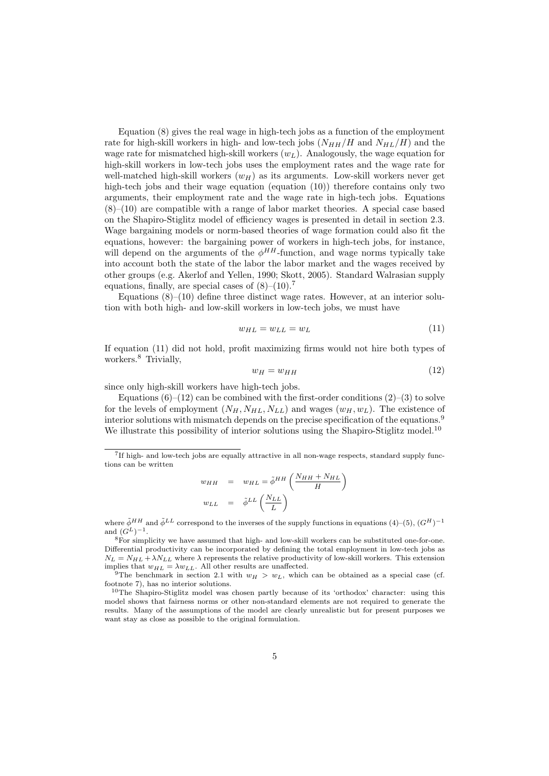Equation (8) gives the real wage in high-tech jobs as a function of the employment rate for high-skill workers in high- and low-tech jobs  $(N_{HH}/H$  and  $N_{HL}/H$ ) and the wage rate for mismatched high-skill workers  $(w_L)$ . Analogously, the wage equation for high-skill workers in low-tech jobs uses the employment rates and the wage rate for well-matched high-skill workers  $(w_H)$  as its arguments. Low-skill workers never get high-tech jobs and their wage equation (equation (10)) therefore contains only two arguments, their employment rate and the wage rate in high-tech jobs. Equations  $(8)$ – $(10)$  are compatible with a range of labor market theories. A special case based on the Shapiro-Stiglitz model of efficiency wages is presented in detail in section 2.3. Wage bargaining models or norm-based theories of wage formation could also fit the equations, however: the bargaining power of workers in high-tech jobs, for instance, will depend on the arguments of the  $\phi^{HH}$ -function, and wage norms typically take into account both the state of the labor the labor market and the wages received by other groups (e.g. Akerlof and Yellen, 1990; Skott, 2005). Standard Walrasian supply equations, finally, are special cases of  $(8)$ – $(10)$ .<sup>7</sup>

Equations  $(8)$ – $(10)$  define three distinct wage rates. However, at an interior solution with both high- and low-skill workers in low-tech jobs, we must have

$$
w_{HL} = w_{LL} = w_L \tag{11}
$$

If equation (11) did not hold, profit maximizing firms would not hire both types of workers.<sup>8</sup> Trivially,

$$
w_H = w_{HH} \tag{12}
$$

since only high-skill workers have high-tech jobs.

Equations  $(6)-(12)$  can be combined with the first-order conditions  $(2)-(3)$  to solve for the levels of employment  $(N_H, N_{HL}, N_{LL})$  and wages  $(w_H, w_L)$ . The existence of interior solutions with mismatch depends on the precise specification of the equations.<sup>9</sup> We illustrate this possibility of interior solutions using the Shapiro-Stiglitz model.<sup>10</sup>

$$
\begin{array}{rcl} w_{HH} & = & w_{HL} = \tilde{\phi}^{HH} \left( \dfrac{N_{HH} + N_{HL}}{H} \right) \\ w_{LL} & = & \tilde{\phi}^{LL} \left( \dfrac{N_{LL}}{L} \right) \end{array}
$$

where  $\tilde{\phi}^{HH}$  and  $\tilde{\phi}^{LL}$  correspond to the inverses of the supply functions in equations (4)–(5),  $(G^H)^{-1}$ and  $(G^L)^{-1}$ .

<sup>8</sup>For simplicity we have assumed that high- and low-skill workers can be substituted one-for-one. Differential productivity can be incorporated by defining the total employment in low-tech jobs as  $N_L = N_{HL} + \lambda N_{LL}$  where  $\lambda$  represents the relative productivity of low-skill workers. This extension implies that  $w_{HL} = \lambda w_{LL}$ . All other results are unaffected.

<sup>&</sup>lt;sup>7</sup>If high- and low-tech jobs are equally attractive in all non-wage respects, standard supply functions can be written

<sup>&</sup>lt;sup>9</sup>The benchmark in section 2.1 with  $w_H > w_L$ , which can be obtained as a special case (cf. footnote 7), has no interior solutions.

<sup>&</sup>lt;sup>10</sup>The Shapiro-Stiglitz model was chosen partly because of its 'orthodox' character: using this model shows that fairness norms or other non-standard elements are not required to generate the results. Many of the assumptions of the model are clearly unrealistic but for present purposes we want stay as close as possible to the original formulation.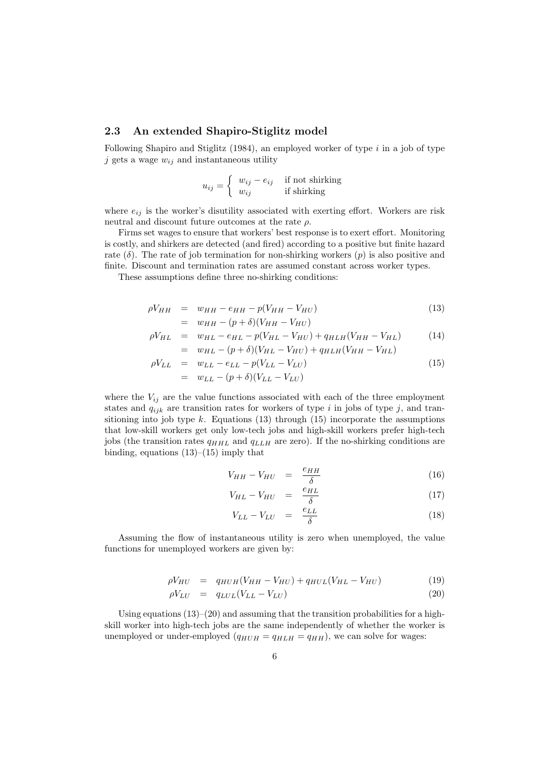#### 2.3 An extended Shapiro-Stiglitz model

Following Shapiro and Stiglitz  $(1984)$ , an employed worker of type i in a job of type i gets a wage  $w_{ij}$  and instantaneous utility

$$
u_{ij} = \begin{cases} w_{ij} - e_{ij} & \text{if not shifting} \\ w_{ij} & \text{if shifting} \end{cases}
$$

where  $e_{ij}$  is the worker's disutility associated with exerting effort. Workers are risk neutral and discount future outcomes at the rate  $\rho$ .

Firms set wages to ensure that workers' best response is to exert effort. Monitoring is costly, and shirkers are detected (and fired) according to a positive but finite hazard rate  $(\delta)$ . The rate of job termination for non-shirking workers  $(p)$  is also positive and finite. Discount and termination rates are assumed constant across worker types.

These assumptions define three no-shirking conditions:

$$
\rho V_{HH} = w_{HH} - e_{HH} - p(V_{HH} - V_{HU})
$$
  
= 
$$
w_{HH} - (p + \delta)(V_{HH} - V_{HU})
$$
 (13)

$$
\rho V_{HL} = w_{HL} - e_{HL} - p(V_{HL} - V_{HU}) + q_{HLH}(V_{HH} - V_{HL})
$$
\n
$$
= w_{HL} - (p + \delta)(V_{HL} - V_{HU}) + q_{HLH}(V_{HH} - V_{HL})
$$
\n(14)

$$
\rho V_{LL} = w_{LL} - e_{LL} - p(V_{LL} - V_{LU})
$$
\n
$$
= w_{LL} - (p + \delta)(V_{LL} - V_{LU})
$$
\n(15)

where the  $V_{ij}$  are the value functions associated with each of the three employment states and  $q_{ijk}$  are transition rates for workers of type i in jobs of type j, and transitioning into job type  $k$ . Equations (13) through (15) incorporate the assumptions that low-skill workers get only low-tech jobs and high-skill workers prefer high-tech jobs (the transition rates  $q_{HHL}$  and  $q_{LLL}$  are zero). If the no-shirking conditions are binding, equations  $(13)$ – $(15)$  imply that

$$
V_{HH} - V_{HU} = \frac{e_{HH}}{\delta} \tag{16}
$$

$$
V_{HL} - V_{HU} = \frac{e_{HL}}{\delta} \tag{17}
$$

$$
V_{LL} - V_{LU} = \frac{e_{LL}}{\delta} \tag{18}
$$

Assuming the flow of instantaneous utility is zero when unemployed, the value functions for unemployed workers are given by:

$$
\rho V_{HU} = q_{HUH}(V_{HH} - V_{HU}) + q_{HUL}(V_{HL} - V_{HU}) \tag{19}
$$

$$
\rho V_{LU} = q_{LUL}(V_{LL} - V_{LU}) \tag{20}
$$

Using equations  $(13)$ – $(20)$  and assuming that the transition probabilities for a highskill worker into high-tech jobs are the same independently of whether the worker is unemployed or under-employed  $(q_{HUH} = q_{HLH} = q_{HH})$ , we can solve for wages: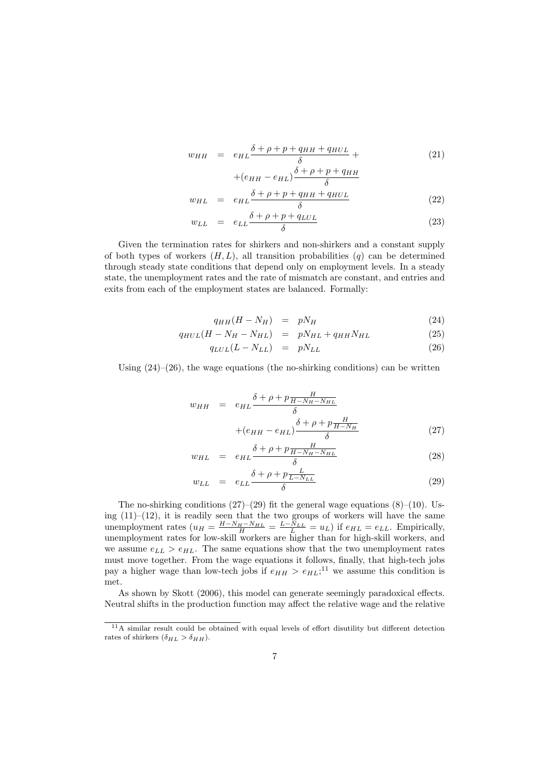$$
w_{HH} = e_{HL} \frac{\delta + \rho + p + q_{HH} + q_{HUL}}{\delta} + \tag{21}
$$

$$
+(e_{HH} - e_{HL})\frac{\delta + \rho + p + q_{HH}}{\delta}
$$
  

$$
\delta + \rho + p + q_{HH} + q_{HUL}
$$
 (99)

$$
w_{HL} = e_{HL} \frac{\delta + \rho + p + q_{HH} + q_{HUL}}{\delta} \tag{22}
$$

$$
w_{LL} = e_{LL} \frac{\delta + \rho + p + q_{LUL}}{\delta} \tag{23}
$$

Given the termination rates for shirkers and non-shirkers and a constant supply of both types of workers  $(H, L)$ , all transition probabilities  $(q)$  can be determined through steady state conditions that depend only on employment levels. In a steady state, the unemployment rates and the rate of mismatch are constant, and entries and exits from each of the employment states are balanced. Formally:

$$
q_{HH}(H - N_H) = pN_H \tag{24}
$$

$$
q_{HUL}(H - N_H - N_{HL}) = pN_{HL} + q_{HH}N_{HL} \tag{25}
$$

$$
q_{LUL}(L - N_{LL}) = pN_{LL} \tag{26}
$$

Using  $(24)$ – $(26)$ , the wage equations (the no-shirking conditions) can be written

$$
w_{HH} = e_{HL} \frac{\delta + \rho + p \frac{H}{H - N_H - N_{HL}}}{\delta} + (e_{HH} - e_{HL}) \frac{\delta + \rho + p \frac{H}{H - N_H}}{\delta}
$$
\n(27)

$$
w_{HL} = e_{HL} \frac{\delta + \rho + p \frac{H}{H - N_H - N_{HL}}}{\delta} \tag{28}
$$

$$
w_{LL} = e_{LL} \frac{\delta + \rho + p \frac{L}{L - N_{LL}}}{\delta} \tag{29}
$$

The no-shirking conditions  $(27)$ – $(29)$  fit the general wage equations  $(8)$ – $(10)$ . Using  $(11)$ – $(12)$ , it is readily seen that the two groups of workers will have the same unemployment rates  $(u_H = \frac{H-N_H-N_{HL}}{H} = \frac{L-N_{LL}}{L} = u_L)$  if  $e_{HL} = e_{LL}$ . Empirically, unemployment rates for low-skill workers are higher than for high-skill workers, and we assume  $e_{LL} > e_{HL}$ . The same equations show that the two unemployment rates must move together. From the wage equations it follows, finally, that high-tech jobs pay a higher wage than low-tech jobs if  $e_{HH} > e_{HL}$ ;<sup>11</sup> we assume this condition is met.

As shown by Skott (2006), this model can generate seemingly paradoxical effects. Neutral shifts in the production function may affect the relative wage and the relative

<sup>&</sup>lt;sup>11</sup>A similar result could be obtained with equal levels of effort disutility but different detection rates of shirkers  $(\delta_{HL} > \delta_{HH})$ .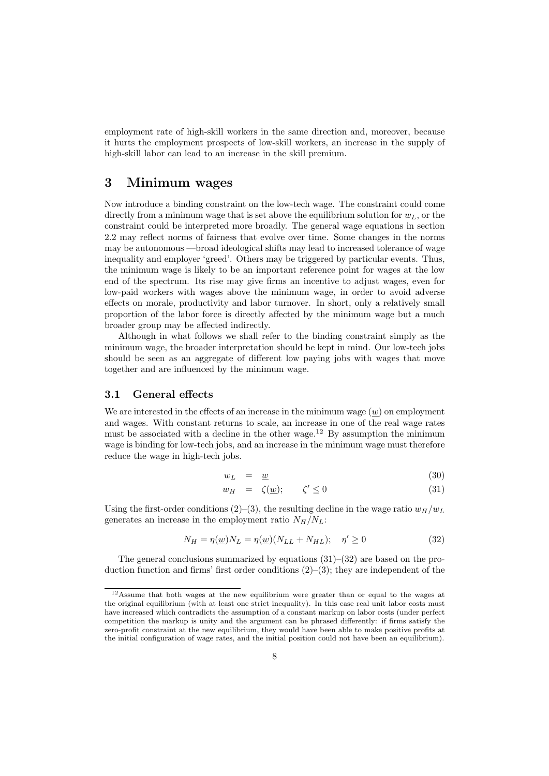employment rate of high-skill workers in the same direction and, moreover, because it hurts the employment prospects of low-skill workers, an increase in the supply of high-skill labor can lead to an increase in the skill premium.

#### 3 Minimum wages

Now introduce a binding constraint on the low-tech wage. The constraint could come directly from a minimum wage that is set above the equilibrium solution for  $w<sub>L</sub>$ , or the constraint could be interpreted more broadly. The general wage equations in section 2.2 may reflect norms of fairness that evolve over time. Some changes in the norms may be autonomous —broad ideological shifts may lead to increased tolerance of wage inequality and employer 'greed'. Others may be triggered by particular events. Thus, the minimum wage is likely to be an important reference point for wages at the low end of the spectrum. Its rise may give firms an incentive to adjust wages, even for low-paid workers with wages above the minimum wage, in order to avoid adverse effects on morale, productivity and labor turnover. In short, only a relatively small proportion of the labor force is directly affected by the minimum wage but a much broader group may be affected indirectly.

Although in what follows we shall refer to the binding constraint simply as the minimum wage, the broader interpretation should be kept in mind. Our low-tech jobs should be seen as an aggregate of different low paying jobs with wages that move together and are influenced by the minimum wage.

#### 3.1 General effects

We are interested in the effects of an increase in the minimum wage  $(w)$  on employment and wages. With constant returns to scale, an increase in one of the real wage rates must be associated with a decline in the other wage.<sup>12</sup> By assumption the minimum wage is binding for low-tech jobs, and an increase in the minimum wage must therefore reduce the wage in high-tech jobs.

$$
w_L = \underline{w} \tag{30}
$$

$$
w_H = \zeta(\underline{w}); \qquad \zeta' \le 0 \tag{31}
$$

Using the first-order conditions (2)–(3), the resulting decline in the wage ratio  $w_H/w_L$ generates an increase in the employment ratio  $N_H/N_L$ :

$$
N_H = \eta(\underline{w})N_L = \eta(\underline{w})(N_{LL} + N_{HL}); \quad \eta' \ge 0
$$
\n
$$
(32)
$$

The general conclusions summarized by equations  $(31)–(32)$  are based on the production function and firms' first order conditions  $(2)$ – $(3)$ ; they are independent of the

<sup>12</sup>Assume that both wages at the new equilibrium were greater than or equal to the wages at the original equilibrium (with at least one strict inequality). In this case real unit labor costs must have increased which contradicts the assumption of a constant markup on labor costs (under perfect competition the markup is unity and the argument can be phrased differently: if firms satisfy the zero-profit constraint at the new equilibrium, they would have been able to make positive profits at the initial configuration of wage rates, and the initial position could not have been an equilibrium).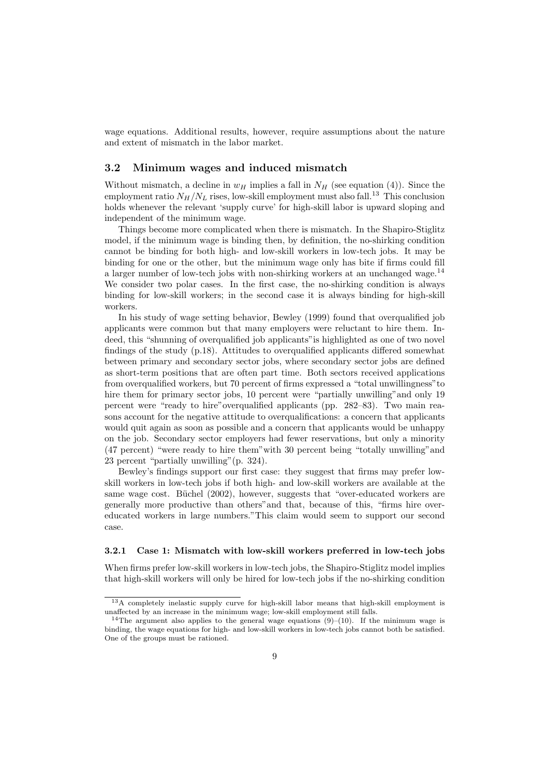wage equations. Additional results, however, require assumptions about the nature and extent of mismatch in the labor market.

#### 3.2 Minimum wages and induced mismatch

Without mismatch, a decline in  $w_H$  implies a fall in  $N_H$  (see equation (4)). Since the employment ratio  $N_H/N_L$  rises, low-skill employment must also fall.<sup>13</sup> This conclusion holds whenever the relevant 'supply curve' for high-skill labor is upward sloping and independent of the minimum wage.

Things become more complicated when there is mismatch. In the Shapiro-Stiglitz model, if the minimum wage is binding then, by definition, the no-shirking condition cannot be binding for both high- and low-skill workers in low-tech jobs. It may be binding for one or the other, but the minimum wage only has bite if firms could fill a larger number of low-tech jobs with non-shirking workers at an unchanged wage.<sup>14</sup> We consider two polar cases. In the first case, the no-shirking condition is always binding for low-skill workers; in the second case it is always binding for high-skill workers.

In his study of wage setting behavior, Bewley (1999) found that overqualified job applicants were common but that many employers were reluctant to hire them. Indeed, this "shunning of overqualified job applicants"is highlighted as one of two novel findings of the study (p.18). Attitudes to overqualified applicants differed somewhat between primary and secondary sector jobs, where secondary sector jobs are defined as short-term positions that are often part time. Both sectors received applications from overqualified workers, but 70 percent of firms expressed a "total unwillingness"to hire them for primary sector jobs, 10 percent were "partially unwilling"and only 19 percent were "ready to hire"overqualified applicants (pp. 282–83). Two main reasons account for the negative attitude to overqualifications: a concern that applicants would quit again as soon as possible and a concern that applicants would be unhappy on the job. Secondary sector employers had fewer reservations, but only a minority (47 percent) "were ready to hire them"with 30 percent being "totally unwilling"and 23 percent "partially unwilling"(p. 324).

Bewley's findings support our first case: they suggest that firms may prefer lowskill workers in low-tech jobs if both high- and low-skill workers are available at the same wage cost. Büchel  $(2002)$ , however, suggests that "over-educated workers are generally more productive than others"and that, because of this, "firms hire overeducated workers in large numbers."This claim would seem to support our second case.

#### 3.2.1 Case 1: Mismatch with low-skill workers preferred in low-tech jobs

When firms prefer low-skill workers in low-tech jobs, the Shapiro-Stiglitz model implies that high-skill workers will only be hired for low-tech jobs if the no-shirking condition

<sup>13</sup>A completely inelastic supply curve for high-skill labor means that high-skill employment is unaffected by an increase in the minimum wage; low-skill employment still falls.

<sup>&</sup>lt;sup>14</sup>The argument also applies to the general wage equations  $(9)$ – $(10)$ . If the minimum wage is binding, the wage equations for high- and low-skill workers in low-tech jobs cannot both be satisfied. One of the groups must be rationed.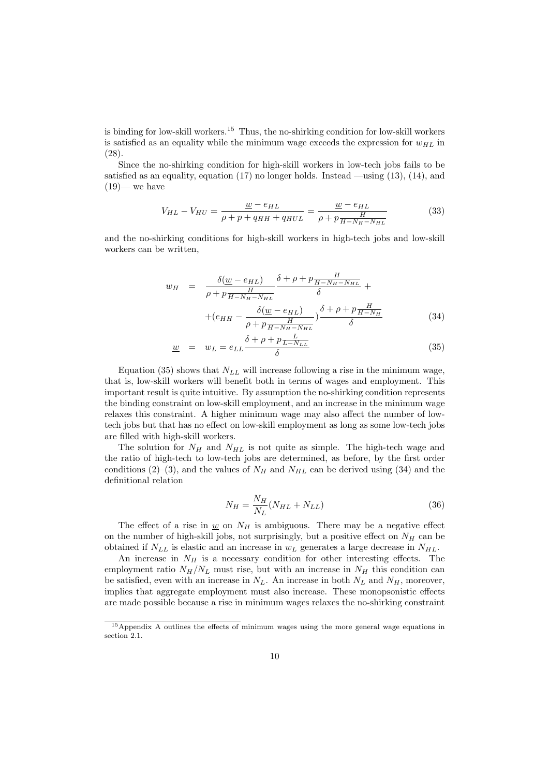is binding for low-skill workers.<sup>15</sup> Thus, the no-shirking condition for low-skill workers is satisfied as an equality while the minimum wage exceeds the expression for  $w_{HL}$  in (28).

Since the no-shirking condition for high-skill workers in low-tech jobs fails to be satisfied as an equality, equation  $(17)$  no longer holds. Instead —using  $(13)$ ,  $(14)$ , and  $(19)$ — we have

$$
V_{HL} - V_{HU} = \frac{w - e_{HL}}{\rho + p + q_{HH} + q_{HUL}} = \frac{w - e_{HL}}{\rho + p \frac{H}{H - N_H - N_{HL}}}
$$
(33)

and the no-shirking conditions for high-skill workers in high-tech jobs and low-skill workers can be written,

$$
w_H = \frac{\delta(\underline{w} - e_{HL})}{\rho + p \frac{H}{H - N_H - N_{HL}}} \frac{\delta + \rho + p \frac{H}{H - N_H - N_{HL}}} {\delta} +
$$

$$
+ (e_{HH} - \frac{\delta(\underline{w} - e_{HL})}{\rho + p \frac{H}{H - N_H - N_{HL}}} ) \frac{\delta + \rho + p \frac{H}{H - N_H}}{\delta}
$$
(34)

$$
\underline{w} = w_L = e_{LL} \frac{\delta + \rho + p \frac{L}{L - N_{LL}}}{\delta} \tag{35}
$$

Equation (35) shows that  $N_{LL}$  will increase following a rise in the minimum wage, that is, low-skill workers will benefit both in terms of wages and employment. This important result is quite intuitive. By assumption the no-shirking condition represents the binding constraint on low-skill employment, and an increase in the minimum wage relaxes this constraint. A higher minimum wage may also affect the number of lowtech jobs but that has no effect on low-skill employment as long as some low-tech jobs are filled with high-skill workers.

The solution for  $N_H$  and  $N_{HL}$  is not quite as simple. The high-tech wage and the ratio of high-tech to low-tech jobs are determined, as before, by the first order conditions (2)–(3), and the values of  $N_H$  and  $N_{HL}$  can be derived using (34) and the definitional relation

$$
N_H = \frac{N_H}{N_L}(N_{HL} + N_{LL})\tag{36}
$$

The effect of a rise in  $\underline{w}$  on  $N_H$  is ambiguous. There may be a negative effect on the number of high-skill jobs, not surprisingly, but a positive effect on  $N_H$  can be obtained if  $N_{LL}$  is elastic and an increase in  $w_L$  generates a large decrease in  $N_{HL}$ .

An increase in  $N_H$  is a necessary condition for other interesting effects. The employment ratio  $N_H/N_L$  must rise, but with an increase in  $N_H$  this condition can be satisfied, even with an increase in  $N_L$ . An increase in both  $N_L$  and  $N_H$ , moreover, implies that aggregate employment must also increase. These monopsonistic effects are made possible because a rise in minimum wages relaxes the no-shirking constraint

<sup>&</sup>lt;sup>15</sup>Appendix A outlines the effects of minimum wages using the more general wage equations in section 2.1.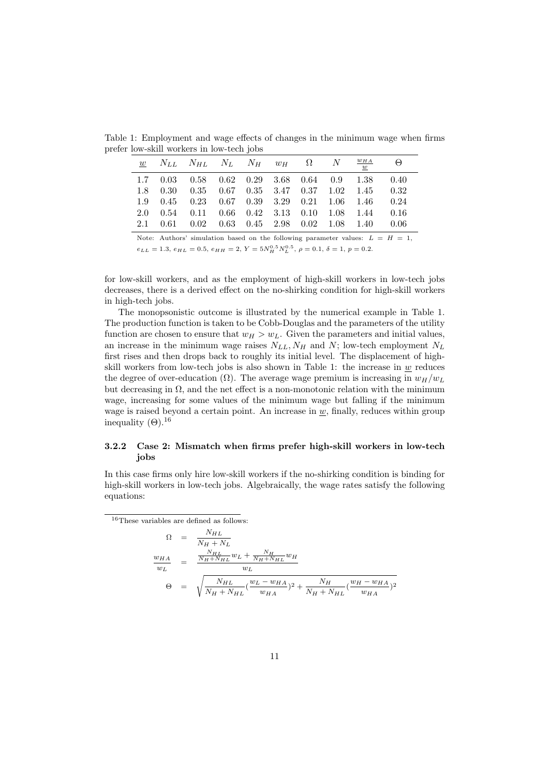|     | a tow-skill workers in fow-teen jobs                                                                                |  |  |  |          |
|-----|---------------------------------------------------------------------------------------------------------------------|--|--|--|----------|
|     | $\begin{array}{ccccccccc} \hline w & N_{LL} & N_{HL} & N_L & N_H & w_H & \Omega & N & \frac{w_{HA}}{w} \end{array}$ |  |  |  | $\Theta$ |
|     | $1.7 \quad 0.03 \quad 0.58 \quad 0.62 \quad 0.29 \quad 3.68 \quad 0.64 \quad 0.9 \quad 1.38 \quad 0.40$             |  |  |  |          |
|     | 1.8 0.30 0.35 0.67 0.35 3.47 0.37 1.02 1.45 0.32                                                                    |  |  |  |          |
|     | 1.9 0.45 0.23 0.67 0.39 3.29 0.21 1.06 1.46 0.24                                                                    |  |  |  |          |
| 2.0 | $0.54$ $0.11$ $0.66$ $0.42$ $3.13$ $0.10$ $1.08$ $1.44$ $0.16$                                                      |  |  |  |          |
|     | 2.1 0.61 0.02 0.63 0.45 2.98 0.02 1.08 1.40 0.06                                                                    |  |  |  |          |

Table 1: Employment and wage effects of changes in the minimum wage when firms prefer low-skill workers in low-tech jobs

Note: Authors' simulation based on the following parameter values:  $L = H = 1$ ,  $e_{LL} = 1.3, e_{HL} = 0.5, e_{HH} = 2, Y = 5N_H^{0.5} N_L^{0.5}, \rho = 0.1, \delta = 1, p = 0.2.$ 

for low-skill workers, and as the employment of high-skill workers in low-tech jobs decreases, there is a derived effect on the no-shirking condition for high-skill workers in high-tech jobs.

The monopsonistic outcome is illustrated by the numerical example in Table 1. The production function is taken to be Cobb-Douglas and the parameters of the utility function are chosen to ensure that  $w_H > w_L$ . Given the parameters and initial values, an increase in the minimum wage raises  $N_{LL}$ ,  $N_H$  and N; low-tech employment  $N_L$ first rises and then drops back to roughly its initial level. The displacement of highskill workers from low-tech jobs is also shown in Table 1: the increase in  $\underline{w}$  reduces the degree of over-education ( $\Omega$ ). The average wage premium is increasing in  $w_H/w_L$ but decreasing in  $\Omega$ , and the net effect is a non-monotonic relation with the minimum wage, increasing for some values of the minimum wage but falling if the minimum wage is raised beyond a certain point. An increase in  $w$ , finally, reduces within group inequality  $(\Theta)$ .<sup>16</sup>

#### 3.2.2 Case 2: Mismatch when firms prefer high-skill workers in low-tech jobs

In this case firms only hire low-skill workers if the no-shirking condition is binding for high-skill workers in low-tech jobs. Algebraically, the wage rates satisfy the following equations:

<sup>16</sup>These variables are defined as follows:

$$
\Omega = \frac{N_{HL}}{N_H + N_L}
$$
\n
$$
\frac{w_{HA}}{w_L} = \frac{\frac{N_{HL}}{N_H + N_{HL}} w_L + \frac{N_H}{N_H + N_{HL}} w_H}{w_L}
$$
\n
$$
\Theta = \sqrt{\frac{N_{HL}}{N_H + N_{HL}} (\frac{w_L - w_{HA}}{w_{HA}})^2 + \frac{N_H}{N_H + N_{HL}} (\frac{w_H - w_{HA}}{w_{HA}})^2}
$$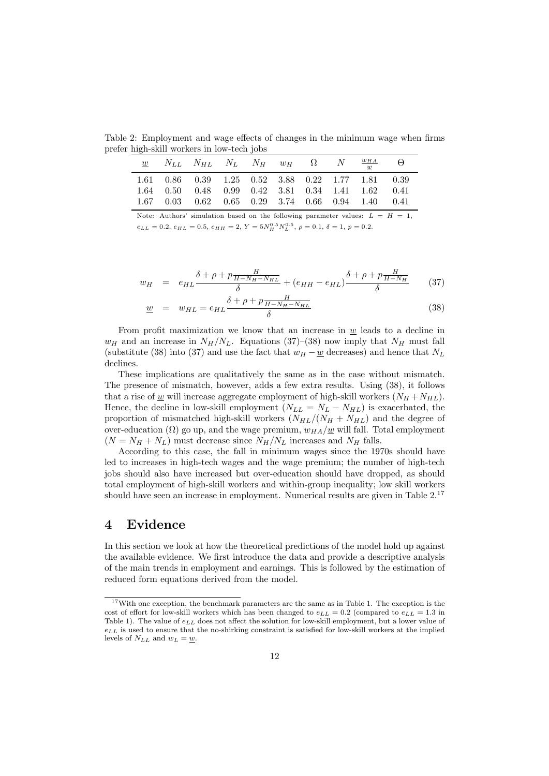Table 2: Employment and wage effects of changes in the minimum wage when firms prefer high-skill workers in low-tech jobs

|  |                                                                                                                                                               |  |  |  | $\left( -\right)$ |
|--|---------------------------------------------------------------------------------------------------------------------------------------------------------------|--|--|--|-------------------|
|  | 1.61 0.86 0.39 1.25 0.52 3.88 0.22 1.77 1.81 0.39<br>1.64 0.50 0.48 0.99 0.42 3.81 0.34 1.41 1.62 0.41<br>$1.67$ 0.03 0.62 0.65 0.29 3.74 0.66 0.94 1.40 0.41 |  |  |  |                   |

Note: Authors' simulation based on the following parameter values:  $L = H = 1$ ,  $e_{LL} = 0.2, e_{HL} = 0.5, e_{HH} = 2, Y = 5N_H^{0.5} N_L^{0.5}, \rho = 0.1, \delta = 1, p = 0.2.$ 

$$
w_H = e_{HL} \frac{\delta + \rho + p \frac{H}{H - N_H - N_{HL}}}{\delta} + (e_{HH} - e_{HL}) \frac{\delta + \rho + p \frac{H}{H - N_H}}{\delta} \qquad (37)
$$

$$
\underline{w} = w_{HL} = e_{HL} \frac{\delta + \rho + p \frac{H}{H - N_H - N_{HL}}}{\delta} \tag{38}
$$

From profit maximization we know that an increase in  $w$  leads to a decline in  $w_H$  and an increase in  $N_H/N_L$ . Equations (37)–(38) now imply that  $N_H$  must fall (substitute (38) into (37) and use the fact that  $w_H - \underline{w}$  decreases) and hence that  $N_L$ declines.

These implications are qualitatively the same as in the case without mismatch. The presence of mismatch, however, adds a few extra results. Using (38), it follows that a rise of  $\underline{w}$  will increase aggregate employment of high-skill workers  $(N_H + N_{HL})$ . Hence, the decline in low-skill employment  $(N_{LL} = N_L - N_{HL})$  is exacerbated, the proportion of mismatched high-skill workers  $(N_{HL}/(N_{H} + N_{HL})$  and the degree of over-education ( $\Omega$ ) go up, and the wage premium,  $w_{HA}/w$  will fall. Total employment  $(N = N_H + N_L)$  must decrease since  $N_H/N_L$  increases and  $N_H$  falls.

According to this case, the fall in minimum wages since the 1970s should have led to increases in high-tech wages and the wage premium; the number of high-tech jobs should also have increased but over-education should have dropped, as should total employment of high-skill workers and within-group inequality; low skill workers should have seen an increase in employment. Numerical results are given in Table 2.<sup>17</sup>

#### 4 Evidence

In this section we look at how the theoretical predictions of the model hold up against the available evidence. We first introduce the data and provide a descriptive analysis of the main trends in employment and earnings. This is followed by the estimation of reduced form equations derived from the model.

<sup>&</sup>lt;sup>17</sup>With one exception, the benchmark parameters are the same as in Table 1. The exception is the cost of effort for low-skill workers which has been changed to  $e_{LL} = 0.2$  (compared to  $e_{LL} = 1.3$  in Table 1). The value of  $e_{LL}$  does not affect the solution for low-skill employment, but a lower value of  $e_{LL}$  is used to ensure that the no-shirking constraint is satisfied for low-skill workers at the implied levels of  $N_{LL}$  and  $w_L = \underline{w}$ .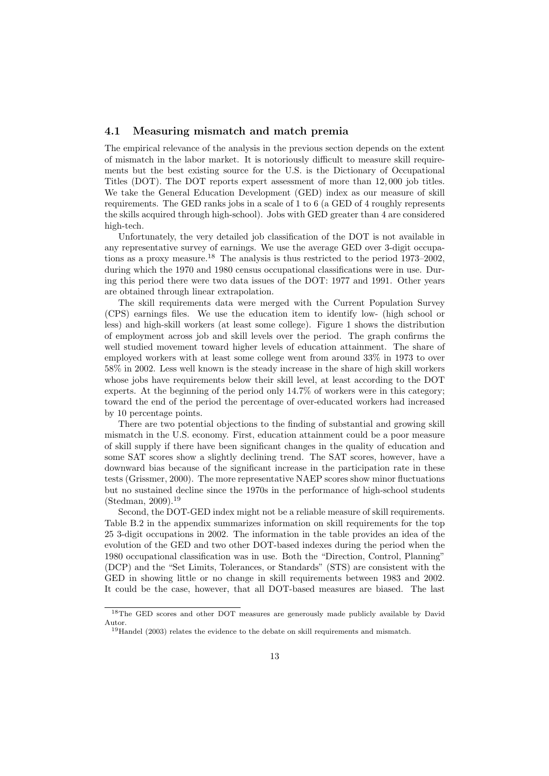#### 4.1 Measuring mismatch and match premia

The empirical relevance of the analysis in the previous section depends on the extent of mismatch in the labor market. It is notoriously difficult to measure skill requirements but the best existing source for the U.S. is the Dictionary of Occupational Titles (DOT). The DOT reports expert assessment of more than 12, 000 job titles. We take the General Education Development (GED) index as our measure of skill requirements. The GED ranks jobs in a scale of 1 to 6 (a GED of 4 roughly represents the skills acquired through high-school). Jobs with GED greater than 4 are considered high-tech.

Unfortunately, the very detailed job classification of the DOT is not available in any representative survey of earnings. We use the average GED over 3-digit occupations as a proxy measure.<sup>18</sup> The analysis is thus restricted to the period 1973–2002, during which the 1970 and 1980 census occupational classifications were in use. During this period there were two data issues of the DOT: 1977 and 1991. Other years are obtained through linear extrapolation.

The skill requirements data were merged with the Current Population Survey (CPS) earnings files. We use the education item to identify low- (high school or less) and high-skill workers (at least some college). Figure 1 shows the distribution of employment across job and skill levels over the period. The graph confirms the well studied movement toward higher levels of education attainment. The share of employed workers with at least some college went from around 33% in 1973 to over 58% in 2002. Less well known is the steady increase in the share of high skill workers whose jobs have requirements below their skill level, at least according to the DOT experts. At the beginning of the period only 14.7% of workers were in this category; toward the end of the period the percentage of over-educated workers had increased by 10 percentage points.

There are two potential objections to the finding of substantial and growing skill mismatch in the U.S. economy. First, education attainment could be a poor measure of skill supply if there have been significant changes in the quality of education and some SAT scores show a slightly declining trend. The SAT scores, however, have a downward bias because of the significant increase in the participation rate in these tests (Grissmer, 2000). The more representative NAEP scores show minor fluctuations but no sustained decline since the 1970s in the performance of high-school students (Stedman, 2009).<sup>19</sup>

Second, the DOT-GED index might not be a reliable measure of skill requirements. Table B.2 in the appendix summarizes information on skill requirements for the top 25 3-digit occupations in 2002. The information in the table provides an idea of the evolution of the GED and two other DOT-based indexes during the period when the 1980 occupational classification was in use. Both the "Direction, Control, Planning" (DCP) and the "Set Limits, Tolerances, or Standards" (STS) are consistent with the GED in showing little or no change in skill requirements between 1983 and 2002. It could be the case, however, that all DOT-based measures are biased. The last

<sup>&</sup>lt;sup>18</sup>The GED scores and other DOT measures are generously made publicly available by David Autor.

<sup>&</sup>lt;sup>19</sup>Handel (2003) relates the evidence to the debate on skill requirements and mismatch.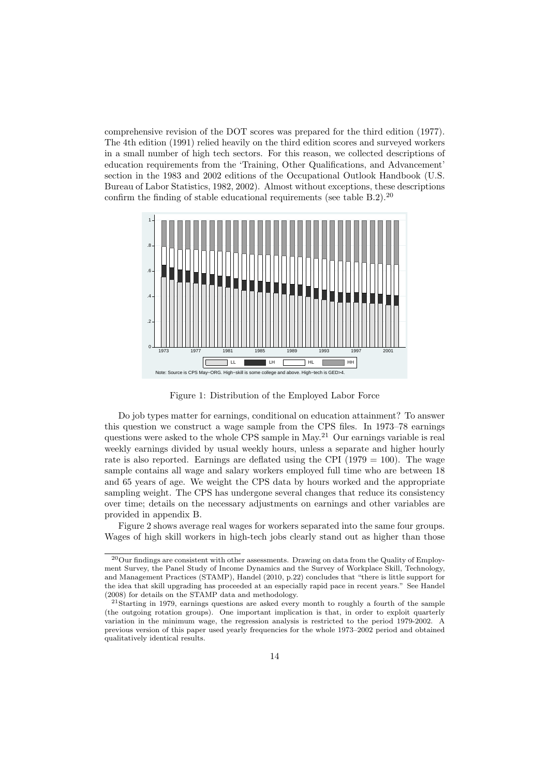comprehensive revision of the DOT scores was prepared for the third edition (1977). The 4th edition (1991) relied heavily on the third edition scores and surveyed workers in a small number of high tech sectors. For this reason, we collected descriptions of education requirements from the 'Training, Other Qualifications, and Advancement' section in the 1983 and 2002 editions of the Occupational Outlook Handbook (U.S. Bureau of Labor Statistics, 1982, 2002). Almost without exceptions, these descriptions confirm the finding of stable educational requirements (see table  $B.2$ ).<sup>20</sup>



Figure 1: Distribution of the Employed Labor Force

Do job types matter for earnings, conditional on education attainment? To answer this question we construct a wage sample from the CPS files. In 1973–78 earnings questions were asked to the whole CPS sample in May.<sup>21</sup> Our earnings variable is real weekly earnings divided by usual weekly hours, unless a separate and higher hourly rate is also reported. Earnings are deflated using the CPI ( $1979 = 100$ ). The wage sample contains all wage and salary workers employed full time who are between 18 and 65 years of age. We weight the CPS data by hours worked and the appropriate sampling weight. The CPS has undergone several changes that reduce its consistency over time; details on the necessary adjustments on earnings and other variables are provided in appendix B.

Figure 2 shows average real wages for workers separated into the same four groups. Wages of high skill workers in high-tech jobs clearly stand out as higher than those

<sup>&</sup>lt;sup>20</sup>Our findings are consistent with other assessments. Drawing on data from the Quality of Employment Survey, the Panel Study of Income Dynamics and the Survey of Workplace Skill, Technology, and Management Practices (STAMP), Handel (2010, p.22) concludes that "there is little support for the idea that skill upgrading has proceeded at an especially rapid pace in recent years." See Handel (2008) for details on the STAMP data and methodology.

<sup>21</sup>Starting in 1979, earnings questions are asked every month to roughly a fourth of the sample (the outgoing rotation groups). One important implication is that, in order to exploit quarterly variation in the minimum wage, the regression analysis is restricted to the period 1979-2002. A previous version of this paper used yearly frequencies for the whole 1973–2002 period and obtained qualitatively identical results.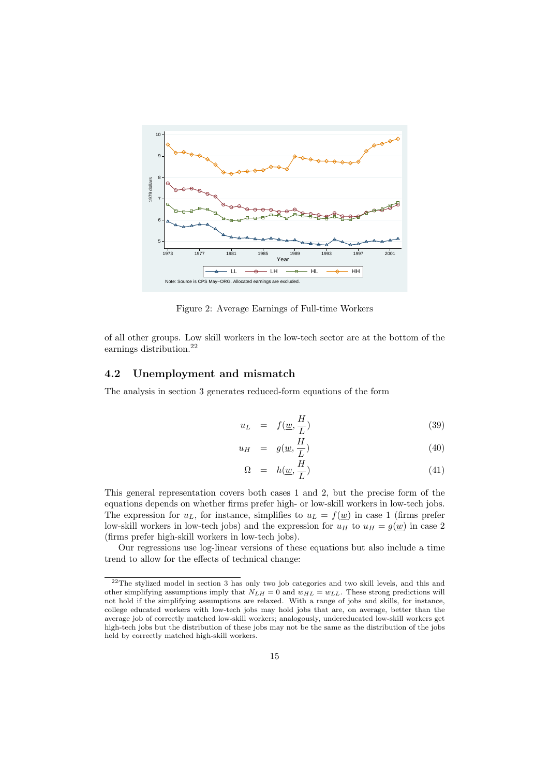

Figure 2: Average Earnings of Full-time Workers

of all other groups. Low skill workers in the low-tech sector are at the bottom of the earnings distribution.<sup>22</sup>

#### 4.2 Unemployment and mismatch

The analysis in section 3 generates reduced-form equations of the form

$$
u_L = f(\underline{w}, \frac{H}{L}) \tag{39}
$$

$$
u_H = g(\underline{w}, \frac{H}{L}) \tag{40}
$$

$$
\Omega = h(\underline{w}, \frac{H}{L}) \tag{41}
$$

This general representation covers both cases 1 and 2, but the precise form of the equations depends on whether firms prefer high- or low-skill workers in low-tech jobs. The expression for  $u<sub>L</sub>$ , for instance, simplifies to  $u<sub>L</sub> = f(\underline{w})$  in case 1 (firms prefer low-skill workers in low-tech jobs) and the expression for  $u_H$  to  $u_H = g(w)$  in case 2 (firms prefer high-skill workers in low-tech jobs).

Our regressions use log-linear versions of these equations but also include a time trend to allow for the effects of technical change:

<sup>&</sup>lt;sup>22</sup>The stylized model in section 3 has only two job categories and two skill levels, and this and other simplifying assumptions imply that  $N_{LH} = 0$  and  $w_{HL} = w_{LL}$ . These strong predictions will not hold if the simplifying assumptions are relaxed. With a range of jobs and skills, for instance, college educated workers with low-tech jobs may hold jobs that are, on average, better than the average job of correctly matched low-skill workers; analogously, undereducated low-skill workers get high-tech jobs but the distribution of these jobs may not be the same as the distribution of the jobs held by correctly matched high-skill workers.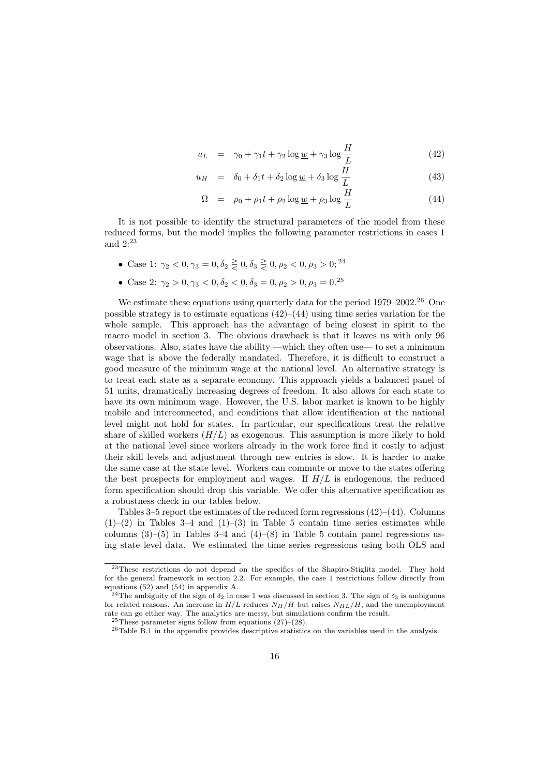$$
u_L = \gamma_0 + \gamma_1 t + \gamma_2 \log \underline{w} + \gamma_3 \log \frac{H}{L}
$$
 (42)

$$
u_H = \delta_0 + \delta_1 t + \delta_2 \log \underline{w} + \delta_3 \log \frac{H}{L}
$$
 (43)

$$
\Omega = \rho_0 + \rho_1 t + \rho_2 \log \underline{w} + \rho_3 \log \frac{H}{L}
$$
\n(44)

It is not possible to identify the structural parameters of the model from these reduced forms, but the model implies the following parameter restrictions in cases 1 and 2:<sup>23</sup>

- Case 1:  $\gamma_2 < 0, \gamma_3 = 0, \delta_2 \geq 0, \delta_3 \geq 0, \rho_2 < 0, \rho_3 > 0;$ <sup>24</sup>
- Case 2:  $\gamma_2 > 0, \gamma_3 < 0, \delta_2 < 0, \delta_3 = 0, \rho_2 > 0, \rho_3 = 0.25$

We estimate these equations using quarterly data for the period  $1979-2002^{26}$  One possible strategy is to estimate equations  $(42)$ – $(44)$  using time series variation for the whole sample. This approach has the advantage of being closest in spirit to the macro model in section 3. The obvious drawback is that it leaves us with only 96 observations. Also, states have the ability —which they often use— to set a minimum wage that is above the federally mandated. Therefore, it is difficult to construct a good measure of the minimum wage at the national level. An alternative strategy is to treat each state as a separate economy. This approach yields a balanced panel of 51 units, dramatically increasing degrees of freedom. It also allows for each state to have its own minimum wage. However, the U.S. labor market is known to be highly mobile and interconnected, and conditions that allow identification at the national level might not hold for states. In particular, our specifications treat the relative share of skilled workers  $(H/L)$  as exogenous. This assumption is more likely to hold at the national level since workers already in the work force find it costly to adjust their skill levels and adjustment through new entries is slow. It is harder to make the same case at the state level. Workers can commute or move to the states offering the best prospects for employment and wages. If  $H/L$  is endogenous, the reduced form specification should drop this variable. We offer this alternative specification as a robustness check in our tables below.

Tables  $3-5$  report the estimates of the reduced form regressions  $(42)$ – $(44)$ . Columns  $(1)$ – $(2)$  in Tables 3–4 and  $(1)$ – $(3)$  in Table 5 contain time series estimates while columns  $(3)$ – $(5)$  in Tables 3–4 and  $(4)$ – $(8)$  in Table 5 contain panel regressions using state level data. We estimated the time series regressions using both OLS and

<sup>&</sup>lt;sup>23</sup>These restrictions do not depend on the specifics of the Shapiro-Stiglitz model. They hold for the general framework in section 2.2. For example, the case 1 restrictions follow directly from equations (52) and (54) in appendix A.

<sup>&</sup>lt;sup>24</sup>The ambiguity of the sign of  $\delta_2$  in case 1 was discussed in section 3. The sign of  $\delta_3$  is ambiguous for related reasons. An increase in  $H/L$  reduces  $N_H/H$  but raises  $N_{HL}/H$ , and the unemployment rate can go either way. The analytics are messy, but simulations confirm the result.

<sup>&</sup>lt;sup>25</sup>These parameter signs follow from equations  $(27)-(28)$ .

<sup>26</sup>Table B.1 in the appendix provides descriptive statistics on the variables used in the analysis.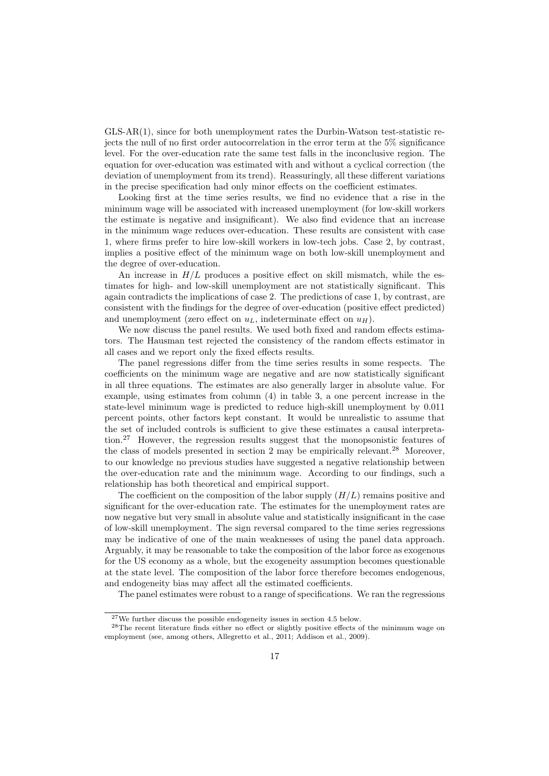GLS-AR(1), since for both unemployment rates the Durbin-Watson test-statistic rejects the null of no first order autocorrelation in the error term at the 5% significance level. For the over-education rate the same test falls in the inconclusive region. The equation for over-education was estimated with and without a cyclical correction (the deviation of unemployment from its trend). Reassuringly, all these different variations in the precise specification had only minor effects on the coefficient estimates.

Looking first at the time series results, we find no evidence that a rise in the minimum wage will be associated with increased unemployment (for low-skill workers the estimate is negative and insignificant). We also find evidence that an increase in the minimum wage reduces over-education. These results are consistent with case 1, where firms prefer to hire low-skill workers in low-tech jobs. Case 2, by contrast, implies a positive effect of the minimum wage on both low-skill unemployment and the degree of over-education.

An increase in  $H/L$  produces a positive effect on skill mismatch, while the estimates for high- and low-skill unemployment are not statistically significant. This again contradicts the implications of case 2. The predictions of case 1, by contrast, are consistent with the findings for the degree of over-education (positive effect predicted) and unemployment (zero effect on  $u_L$ , indeterminate effect on  $u_H$ ).

We now discuss the panel results. We used both fixed and random effects estimators. The Hausman test rejected the consistency of the random effects estimator in all cases and we report only the fixed effects results.

The panel regressions differ from the time series results in some respects. The coefficients on the minimum wage are negative and are now statistically significant in all three equations. The estimates are also generally larger in absolute value. For example, using estimates from column (4) in table 3, a one percent increase in the state-level minimum wage is predicted to reduce high-skill unemployment by 0.011 percent points, other factors kept constant. It would be unrealistic to assume that the set of included controls is sufficient to give these estimates a causal interpretation.<sup>27</sup> However, the regression results suggest that the monopsonistic features of the class of models presented in section 2 may be empirically relevant.<sup>28</sup> Moreover, to our knowledge no previous studies have suggested a negative relationship between the over-education rate and the minimum wage. According to our findings, such a relationship has both theoretical and empirical support.

The coefficient on the composition of the labor supply  $(H/L)$  remains positive and significant for the over-education rate. The estimates for the unemployment rates are now negative but very small in absolute value and statistically insignificant in the case of low-skill unemployment. The sign reversal compared to the time series regressions may be indicative of one of the main weaknesses of using the panel data approach. Arguably, it may be reasonable to take the composition of the labor force as exogenous for the US economy as a whole, but the exogeneity assumption becomes questionable at the state level. The composition of the labor force therefore becomes endogenous, and endogeneity bias may affect all the estimated coefficients.

The panel estimates were robust to a range of specifications. We ran the regressions

 $27$ We further discuss the possible endogeneity issues in section 4.5 below.

<sup>28</sup>The recent literature finds either no effect or slightly positive effects of the minimum wage on employment (see, among others, Allegretto et al., 2011; Addison et al., 2009).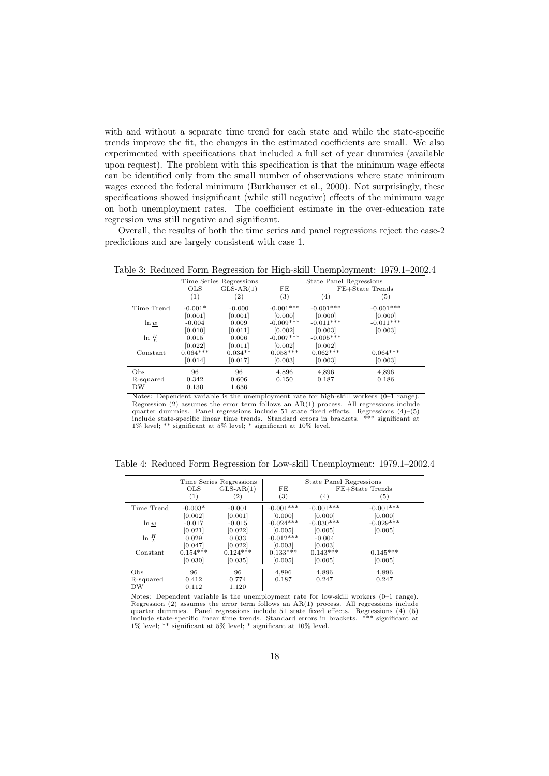with and without a separate time trend for each state and while the state-specific trends improve the fit, the changes in the estimated coefficients are small. We also experimented with specifications that included a full set of year dummies (available upon request). The problem with this specification is that the minimum wage effects can be identified only from the small number of observations where state minimum wages exceed the federal minimum (Burkhauser et al., 2000). Not surprisingly, these specifications showed insignificant (while still negative) effects of the minimum wage on both unemployment rates. The coefficient estimate in the over-education rate regression was still negative and significant.

Overall, the results of both the time series and panel regressions reject the case-2 predictions and are largely consistent with case 1.

|                        | <b>OLS</b><br>(1)    | Time Series Regressions<br>$GLS-AR(1)$<br>$\left( 2\right)$ | FE<br>(3)              | State Panel Regressions<br>(4) | FE+State Trends<br>(5) |
|------------------------|----------------------|-------------------------------------------------------------|------------------------|--------------------------------|------------------------|
| Time Trend             | $-0.001*$            | $-0.000$                                                    | $-0.001***$            | $-0.001***$                    | $-0.001***$            |
|                        | [0.001]              | [0.001]                                                     | [0.000]                | [0.000]                        | [0.000]                |
| ln w                   | $-0.004$             | 0.009                                                       | $-0.009***$            | $-0.011***$                    | $-0.011***$            |
|                        | [0.010]              | [0.011]                                                     | [0.002]                | [0.003]                        | [0.003]                |
| $\ln \frac{H}{L}$      | 0.015<br>[0.022]     | 0.006<br>[0.011]                                            | $-0.007***$<br>[0.002] | $-0.005***$<br>[0.002]         |                        |
| Constant               | $0.064***$           | $0.034**$                                                   | $0.058***$             | $0.062***$                     | $0.064***$             |
|                        | [0.014]              | [0.017]                                                     | [0.003]                | [0.003]                        | [0.003]                |
| Obs<br>R-squared<br>DW | 96<br>0.342<br>0.130 | 96<br>0.606<br>1.636                                        | 4,896<br>0.150         | 4,896<br>0.187                 | 4,896<br>0.186         |

Table 3: Reduced Form Regression for High-skill Unemployment: 1979.1–2002.4

Notes: Dependent variable is the unemployment rate for high-skill workers (0–1 range). Regression (2) assumes the error term follows an AR(1) process. All regressions include quarter dummies. Panel regressions include 51 state fixed effects. Regressions  $(4)$ – $(5)$ include state-specific linear time trends. Standard errors in brackets. \*\*\* significant at 1% level; \*\* significant at 5% level; \* significant at 10% level.

Table 4: Reduced Form Regression for Low-skill Unemployment: 1979.1–2002.4

|                   | <b>OLS</b><br>(1)     | Time Series Regressions<br>$GLS-AR(1)$<br>$\left( 2\right)$ | FE<br>$\left( 3\right)$ | State Panel Regressions<br>(4) | FE+State Trends<br>(5) |  |
|-------------------|-----------------------|-------------------------------------------------------------|-------------------------|--------------------------------|------------------------|--|
| Time Trend        | $-0.003*$             | $-0.001$                                                    | $-0.001***$             | $-0.001***$                    | $-0.001***$            |  |
| ln w              | [0.002]<br>$-0.017$   | [0.001]<br>$-0.015$                                         | [0.000]<br>$-0.024***$  | [0.000]<br>$-0.030***$         | [0.000]<br>$-0.029***$ |  |
| $\ln \frac{H}{L}$ | [0.021]<br>0.029      | [0.022]<br>0.033                                            | [0.005]<br>$-0.012***$  | [0.005]<br>$-0.004$            | [0.005]                |  |
|                   | [0.047]               | [0.022]                                                     | [0.003]                 | [0.003]                        |                        |  |
| Constant          | $0.154***$<br>[0.030] | $0.124***$<br>[0.035]                                       | $0.133***$<br>[0.005]   | $0.143***$<br>[0.005]          | $0.145***$<br>[0.005]  |  |
| Obs               | 96                    | 96                                                          | 4,896                   | 4,896                          | 4,896                  |  |
| R-squared         | 0.412                 | 0.774                                                       | 0.187                   | 0.247                          | 0.247                  |  |
| DW                | 0.112                 | 1.120                                                       |                         |                                |                        |  |

Notes: Dependent variable is the unemployment rate for low-skill workers (0–1 range). Regression (2) assumes the error term follows an AR(1) process. All regressions include quarter dummies. Panel regressions include 51 state fixed effects. Regressions (4)–(5) include state-specific linear time trends. Standard errors in brackets. \*\*\* significant at 1% level; \*\* significant at 5% level; \* significant at 10% level.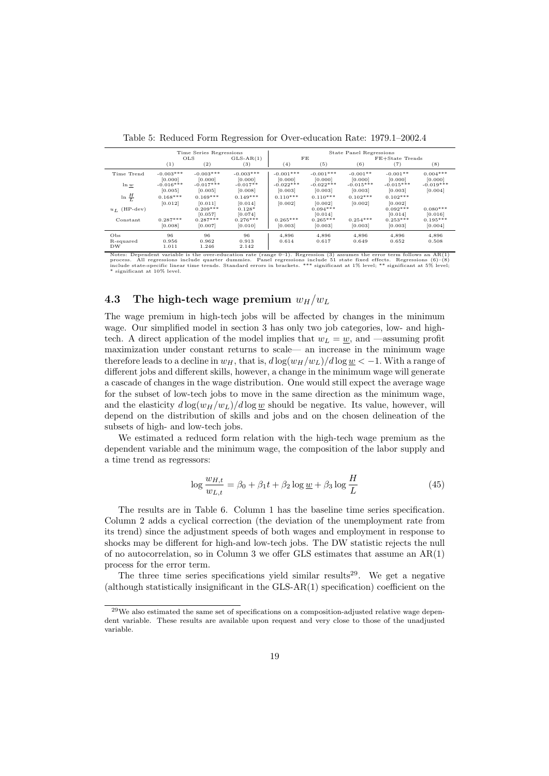|                        |                        | Time Series Regressions          |                                |                        |                                  | State Panel Regressions |                                  |                        |
|------------------------|------------------------|----------------------------------|--------------------------------|------------------------|----------------------------------|-------------------------|----------------------------------|------------------------|
|                        |                        | <b>OLS</b>                       | $GLS-AR(1)$                    |                        | FE                               |                         | FE+State Trends                  |                        |
|                        | (1)                    | (2)                              | (3)                            | (4)                    | (5)                              | (6)                     | (7)                              | (8)                    |
| Time Trend             | $-0.003***$<br>[0.000] | $-0.003***$<br>[0.000]           | $-0.003***$<br>[0.000]         | $-0.001***$<br>[0.000] | $-0.001***$<br>[0.000]           | $-0.001**$<br>[0.000]   | $-0.001**$<br>[0.000]            | $0.004***$<br>[0.000]  |
| ln w                   | $-0.016***$<br>[0.005] | $-0.017***$<br>[0.005]           | $-0.017**$<br>[0.008]          | $-0.022***$<br>[0.003] | $-0.022***$<br>[0.003]           | $-0.015***$<br>[0.003]  | $-0.015***$<br>[0.003]           | $-0.019***$<br>[0.004] |
| $\ln \frac{H}{L}$      | $0.168***$             | $0.169***$                       | $0.149***$                     | $0.110***$             | $0.110***$                       | $0.102***$              | $0.102***$                       |                        |
| $u_L$ (HP-dev)         | [0.012]                | [0.011]<br>$0.209***$<br>[0.057] | [0.014]<br>$0.128*$<br>[0.074] | [0.002]                | [0.002]<br>$0.094***$<br>[0.014] | [0.002]                 | [0.002]<br>$0.092***$<br>[0.014] | $0.080***$<br>[0.016]  |
| Constant               | $0.287***$<br>[0.008]  | $0.287***$<br>[0.007]            | $0.276***$<br>[0.010]          | $0.265***$<br>[0.003]  | $0.265***$<br>[0.003]            | $0.254***$<br>[0.003]   | $0.253***$<br>[0.003]            | $0.195***$<br>[0.004]  |
| Obs<br>R-squared<br>DW | 96<br>0.956<br>1.011   | 96<br>0.962<br>1.246             | 96<br>0.913<br>2.142           | 4,896<br>0.614         | 4,896<br>0.617                   | 4,896<br>0.649          | 4,896<br>0.652                   | 4,896<br>0.508         |

Table 5: Reduced Form Regression for Over-education Rate: 1979.1–2002.4

Notes: Dependent variable is the over-education rate (range 0–1). Regression (3) assumes the error term follows an AR(1)<br>process. All regressions include quarter dummies. Panel regressions include 51 state fixed effects. R

#### 4.3 The high-tech wage premium  $w_H/w_L$

The wage premium in high-tech jobs will be affected by changes in the minimum wage. Our simplified model in section 3 has only two job categories, low- and hightech. A direct application of the model implies that  $w_L = w$ , and —assuming profit maximization under constant returns to scale— an increase in the minimum wage therefore leads to a decline in  $w_H$ , that is,  $d \log(w_H/w_L)/d \log w < -1$ . With a range of different jobs and different skills, however, a change in the minimum wage will generate a cascade of changes in the wage distribution. One would still expect the average wage for the subset of low-tech jobs to move in the same direction as the minimum wage, and the elasticity  $d \log(w_H/w_L)/d \log w$  should be negative. Its value, however, will depend on the distribution of skills and jobs and on the chosen delineation of the subsets of high- and low-tech jobs.

We estimated a reduced form relation with the high-tech wage premium as the dependent variable and the minimum wage, the composition of the labor supply and a time trend as regressors:

$$
\log \frac{w_{H,t}}{w_{L,t}} = \beta_0 + \beta_1 t + \beta_2 \log \underline{w} + \beta_3 \log \frac{H}{L}
$$
\n(45)

The results are in Table 6. Column 1 has the baseline time series specification. Column 2 adds a cyclical correction (the deviation of the unemployment rate from its trend) since the adjustment speeds of both wages and employment in response to shocks may be different for high-and low-tech jobs. The DW statistic rejects the null of no autocorrelation, so in Column 3 we offer GLS estimates that assume an AR(1) process for the error term.

The three time series specifications yield similar results<sup>29</sup>. We get a negative (although statistically insignificant in the GLS-AR(1) specification) coefficient on the

<sup>&</sup>lt;sup>29</sup>We also estimated the same set of specifications on a composition-adjusted relative wage dependent variable. These results are available upon request and very close to those of the unadjusted variable.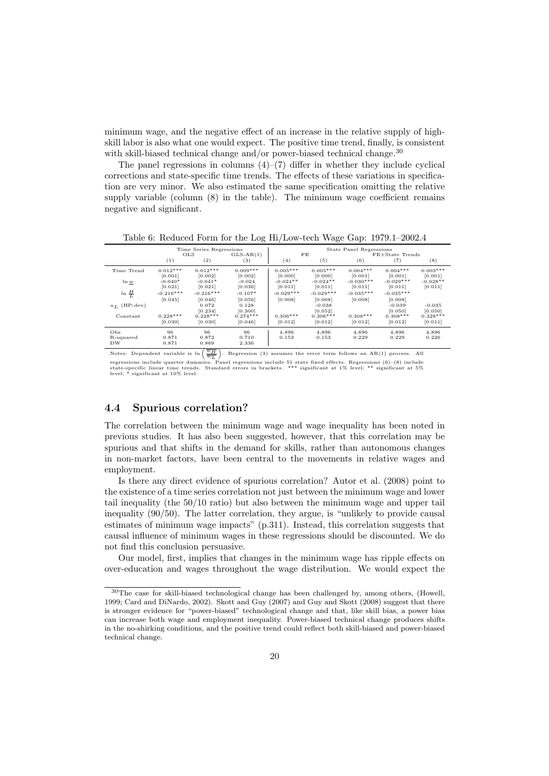minimum wage, and the negative effect of an increase in the relative supply of highskill labor is also what one would expect. The positive time trend, finally, is consistent with skill-biased technical change and/or power-biased technical change.<sup>30</sup>

The panel regressions in columns  $(4)$ – $(7)$  differ in whether they include cyclical corrections and state-specific time trends. The effects of these variations in specification are very minor. We also estimated the same specification omitting the relative supply variable (column  $(8)$ ) in the table). The minimum wage coefficient remains negative and significant.

|                        |                        | Time Series Regressions |                       |                        |                        | State Panel Regressions |                        |                       |
|------------------------|------------------------|-------------------------|-----------------------|------------------------|------------------------|-------------------------|------------------------|-----------------------|
|                        | <b>OLS</b>             |                         | $GLS-AR(1)$           |                        | FE                     |                         | FE+State Trends        |                       |
|                        | (1)                    | (2)                     | (3)                   | (4)                    | (5)                    | (6)                     | (7)                    | (8)                   |
| Time Trend             | $0.012***$<br>[0.001]  | $0.012***$<br>[0.002]   | $0.009***$<br>[0.002] | $0.005***$<br>[0.000]  | $0.005***$<br>[0.000]  | $0.004***$<br>[0.001]   | $0.004***$<br>[0.001]  | $0.003***$<br>[0.001] |
| $\ln w$                | $-0.040*$<br>[0.021]   | $-0.041*$<br>[0.021]    | $-0.024$<br>[0.036]   | $-0.024**$<br>[0.011]  | $-0.024**$<br>[0.011]  | $-0.030***$<br>[0.011]  | $-0.029***$<br>[0.011] | $-0.028**$<br>[0.011] |
| $\ln \frac{H}{L}$      | $-0.216***$<br>[0.045] | $-0.216***$<br>[0.046]  | $-0.107*$<br>[0.056]  | $-0.029***$<br>[0.008] | $-0.029***$<br>[0.008] | $-0.035***$<br>[0.008]  | $-0.035***$<br>[0.008] |                       |
| $u_L$ (HP-dev)         |                        | 0.072<br>[0.234]        | 0.128<br>[0.300]      |                        | $-0.038$<br>[0.052]    |                         | $-0.039$<br>[0.050]    | $-0.035$<br>[0.050]   |
| Constant               | $0.228***$<br>[0.030]  | $0.228***$<br>[0.030]   | $0.274***$<br>[0.046] | $0.306***$<br>[0.012]  | $0.306***$<br>[0.012]  | $0.308***$<br>[0.012]   | $0.308***$<br>[0.012]  | $0.328***$<br>[0.011] |
| Obs<br>R-squared<br>DW | 96<br>0.871<br>0.871   | 96<br>0.872<br>0.869    | 96<br>0.710<br>2.336  | 4,896<br>0.153         | 4,896<br>0.153         | 4,896<br>0.229          | 4,896<br>0.229         | 4,896<br>0.226        |

Table 6: Reduced Form for the Log Hi/Low-tech Wage Gap: 1979.1–2002.4

Notes: Dependent variable is  $\ln\left(\frac{\overline{w_H}}{H}\right)$ . Regression (3) assumes the error term follows an AR(1) process. All regressions include quarter dummies. Panel regressions (b) assumes the effort term follows an  $P(A|Y)$  process. The regressions include quarter dummies. Panel regressions include 51 state fixed effects. Regressions (6)–(8)

#### 4.4 Spurious correlation?

The correlation between the minimum wage and wage inequality has been noted in previous studies. It has also been suggested, however, that this correlation may be spurious and that shifts in the demand for skills, rather than autonomous changes in non-market factors, have been central to the movements in relative wages and employment.

Is there any direct evidence of spurious correlation? Autor et al. (2008) point to the existence of a time series correlation not just between the minimum wage and lower tail inequality (the 50/10 ratio) but also between the minimum wage and upper tail inequality (90/50). The latter correlation, they argue, is "unlikely to provide causal estimates of minimum wage impacts" (p.311). Instead, this correlation suggests that causal influence of minimum wages in these regressions should be discounted. We do not find this conclusion persuasive.

Our model, first, implies that changes in the minimum wage has ripple effects on over-education and wages throughout the wage distribution. We would expect the

<sup>30</sup>The case for skill-biased technological change has been challenged by, among others, (Howell, 1999; Card and DiNardo, 2002). Skott and Guy (2007) and Guy and Skott (2008) suggest that there is stronger evidence for "power-biased" technological change and that, like skill bias, a power bias can increase both wage and employment inequality. Power-biased technical change produces shifts in the no-shirking conditions, and the positive trend could reflect both skill-biased and power-biased technical change.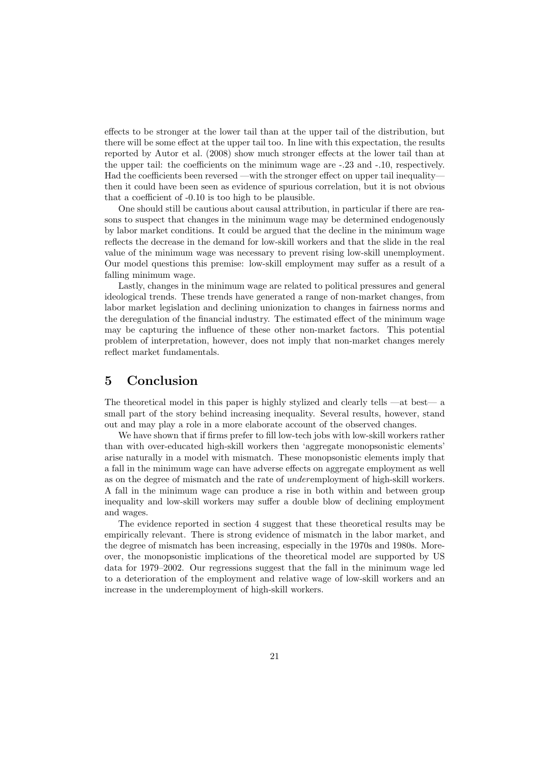effects to be stronger at the lower tail than at the upper tail of the distribution, but there will be some effect at the upper tail too. In line with this expectation, the results reported by Autor et al. (2008) show much stronger effects at the lower tail than at the upper tail: the coefficients on the minimum wage are -.23 and -.10, respectively. Had the coefficients been reversed —with the stronger effect on upper tail inequalitythen it could have been seen as evidence of spurious correlation, but it is not obvious that a coefficient of -0.10 is too high to be plausible.

One should still be cautious about causal attribution, in particular if there are reasons to suspect that changes in the minimum wage may be determined endogenously by labor market conditions. It could be argued that the decline in the minimum wage reflects the decrease in the demand for low-skill workers and that the slide in the real value of the minimum wage was necessary to prevent rising low-skill unemployment. Our model questions this premise: low-skill employment may suffer as a result of a falling minimum wage.

Lastly, changes in the minimum wage are related to political pressures and general ideological trends. These trends have generated a range of non-market changes, from labor market legislation and declining unionization to changes in fairness norms and the deregulation of the financial industry. The estimated effect of the minimum wage may be capturing the influence of these other non-market factors. This potential problem of interpretation, however, does not imply that non-market changes merely reflect market fundamentals.

#### 5 Conclusion

The theoretical model in this paper is highly stylized and clearly tells —at best— a small part of the story behind increasing inequality. Several results, however, stand out and may play a role in a more elaborate account of the observed changes.

We have shown that if firms prefer to fill low-tech jobs with low-skill workers rather than with over-educated high-skill workers then 'aggregate monopsonistic elements' arise naturally in a model with mismatch. These monopsonistic elements imply that a fall in the minimum wage can have adverse effects on aggregate employment as well as on the degree of mismatch and the rate of underemployment of high-skill workers. A fall in the minimum wage can produce a rise in both within and between group inequality and low-skill workers may suffer a double blow of declining employment and wages.

The evidence reported in section 4 suggest that these theoretical results may be empirically relevant. There is strong evidence of mismatch in the labor market, and the degree of mismatch has been increasing, especially in the 1970s and 1980s. Moreover, the monopsonistic implications of the theoretical model are supported by US data for 1979–2002. Our regressions suggest that the fall in the minimum wage led to a deterioration of the employment and relative wage of low-skill workers and an increase in the underemployment of high-skill workers.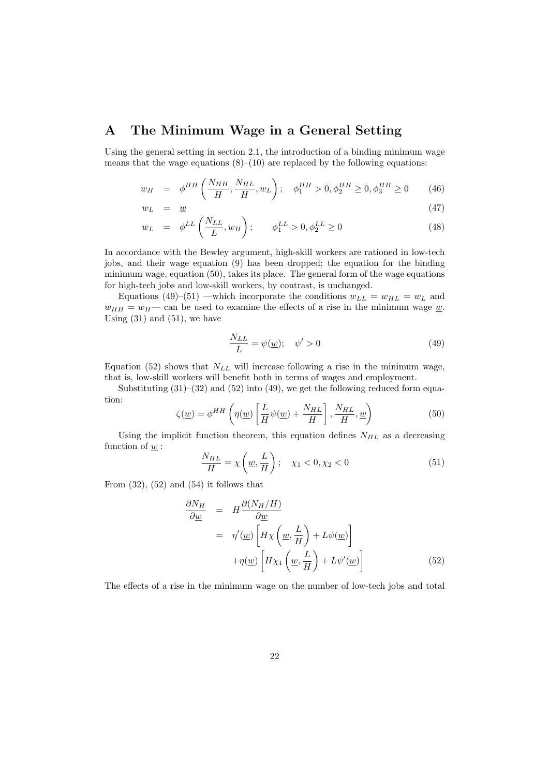#### A The Minimum Wage in a General Setting

Using the general setting in section 2.1, the introduction of a binding minimum wage means that the wage equations  $(8)$ – $(10)$  are replaced by the following equations:

$$
w_H = \phi^{HH} \left( \frac{N_{HH}}{H}, \frac{N_{HL}}{H}, w_L \right); \quad \phi_1^{HH} > 0, \phi_2^{HH} \ge 0, \phi_3^{HH} \ge 0 \tag{46}
$$

$$
w_L = \underline{w} \tag{47}
$$

$$
w_L = \phi^{LL} \left( \frac{N_{LL}}{L}, w_H \right); \qquad \phi_1^{LL} > 0, \phi_2^{LL} \ge 0 \tag{48}
$$

In accordance with the Bewley argument, high-skill workers are rationed in low-tech jobs, and their wage equation (9) has been dropped; the equation for the binding minimum wage, equation (50), takes its place. The general form of the wage equations for high-tech jobs and low-skill workers, by contrast, is unchanged.

Equations (49)–(51) —which incorporate the conditions  $w_{LL} = w_{HL} = w_L$  and  $w_{HH} = w_H$  can be used to examine the effects of a rise in the minimum wage w. Using  $(31)$  and  $(51)$ , we have

$$
\frac{N_{LL}}{L} = \psi(\underline{w}); \quad \psi' > 0 \tag{49}
$$

Equation (52) shows that  $N_{LL}$  will increase following a rise in the minimum wage, that is, low-skill workers will benefit both in terms of wages and employment.

Substituting  $(31)$ – $(32)$  and  $(52)$  into  $(49)$ , we get the following reduced form equation:

$$
\zeta(\underline{w}) = \phi^{HH} \left( \eta(\underline{w}) \left[ \frac{L}{H} \psi(\underline{w}) + \frac{N_{HL}}{H} \right], \frac{N_{HL}}{H}, \underline{w} \right)
$$
(50)

Using the implicit function theorem, this equation defines  $N_{HL}$  as a decreasing function of  $\underline{w}$ :

$$
\frac{N_{HL}}{H} = \chi\left(\underline{w}, \frac{L}{H}\right); \quad \chi_1 < 0, \chi_2 < 0 \tag{51}
$$

From  $(32)$ ,  $(52)$  and  $(54)$  it follows that

$$
\frac{\partial N_H}{\partial \underline{w}} = H \frac{\partial (N_H/H)}{\partial \underline{w}}
$$
  
=  $\eta'(\underline{w}) \left[ H \chi \left( \underline{w}, \frac{L}{H} \right) + L \psi(\underline{w}) \right]$   
+  $\eta(\underline{w}) \left[ H \chi_1 \left( \underline{w}, \frac{L}{H} \right) + L \psi'(\underline{w}) \right]$  (52)

The effects of a rise in the minimum wage on the number of low-tech jobs and total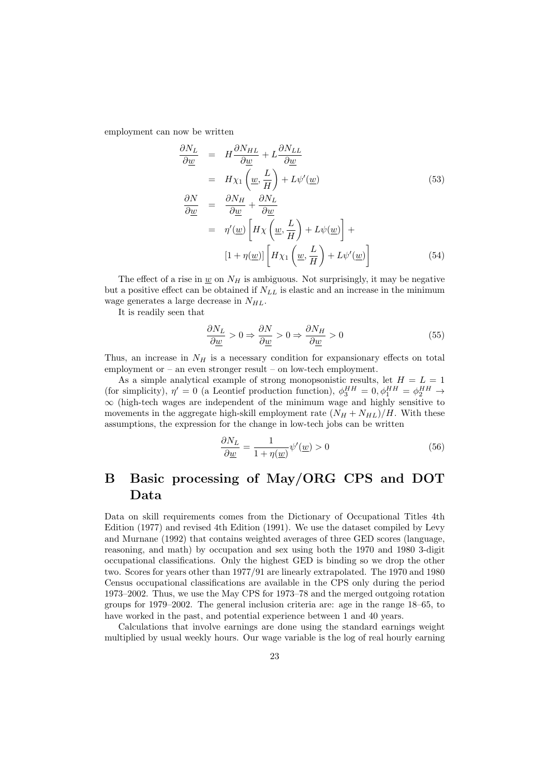employment can now be written

$$
\frac{\partial N_L}{\partial \underline{w}} = H \frac{\partial N_{HL}}{\partial \underline{w}} + L \frac{\partial N_{LL}}{\partial \underline{w}}
$$
\n
$$
= H \chi_1 \left( \underline{w}, \frac{L}{H} \right) + L \psi'(\underline{w}) \tag{53}
$$
\n
$$
\frac{\partial N}{\partial \underline{w}} = \frac{\partial N_H}{\partial \underline{w}} + \frac{\partial N_L}{\partial \underline{w}}
$$
\n
$$
= \eta'(\underline{w}) \left[ H \chi \left( \underline{w}, \frac{L}{H} \right) + L \psi(\underline{w}) \right] +
$$
\n
$$
[1 + \eta(\underline{w})] \left[ H \chi_1 \left( \underline{w}, \frac{L}{H} \right) + L \psi'(\underline{w}) \right] \tag{54}
$$

The effect of a rise in  $\underline{w}$  on  $N_H$  is ambiguous. Not surprisingly, it may be negative but a positive effect can be obtained if  $N_{LL}$  is elastic and an increase in the minimum wage generates a large decrease in  $N_{HL}$ .

It is readily seen that

$$
\frac{\partial N_L}{\partial \underline{w}} > 0 \Rightarrow \frac{\partial N}{\partial \underline{w}} > 0 \Rightarrow \frac{\partial N_H}{\partial \underline{w}} > 0 \tag{55}
$$

Thus, an increase in  $N_H$  is a necessary condition for expansionary effects on total employment or – an even stronger result – on low-tech employment.

As a simple analytical example of strong monopsonistic results, let  $H = L = 1$ (for simplicity),  $\eta' = 0$  (a Leontief production function),  $\phi_3^{HH} = 0, \phi_1^{HH} = \phi_2^{HH} \rightarrow$  $\infty$  (high-tech wages are independent of the minimum wage and highly sensitive to movements in the aggregate high-skill employment rate  $(N_H + N_{HL})/H$ . With these assumptions, the expression for the change in low-tech jobs can be written

$$
\frac{\partial N_L}{\partial \underline{w}} = \frac{1}{1 + \eta(\underline{w})} \psi'(\underline{w}) > 0 \tag{56}
$$

### B Basic processing of May/ORG CPS and DOT Data

Data on skill requirements comes from the Dictionary of Occupational Titles 4th Edition (1977) and revised 4th Edition (1991). We use the dataset compiled by Levy and Murnane (1992) that contains weighted averages of three GED scores (language, reasoning, and math) by occupation and sex using both the 1970 and 1980 3-digit occupational classifications. Only the highest GED is binding so we drop the other two. Scores for years other than 1977/91 are linearly extrapolated. The 1970 and 1980 Census occupational classifications are available in the CPS only during the period 1973–2002. Thus, we use the May CPS for 1973–78 and the merged outgoing rotation groups for 1979–2002. The general inclusion criteria are: age in the range 18–65, to have worked in the past, and potential experience between 1 and 40 years.

Calculations that involve earnings are done using the standard earnings weight multiplied by usual weekly hours. Our wage variable is the log of real hourly earning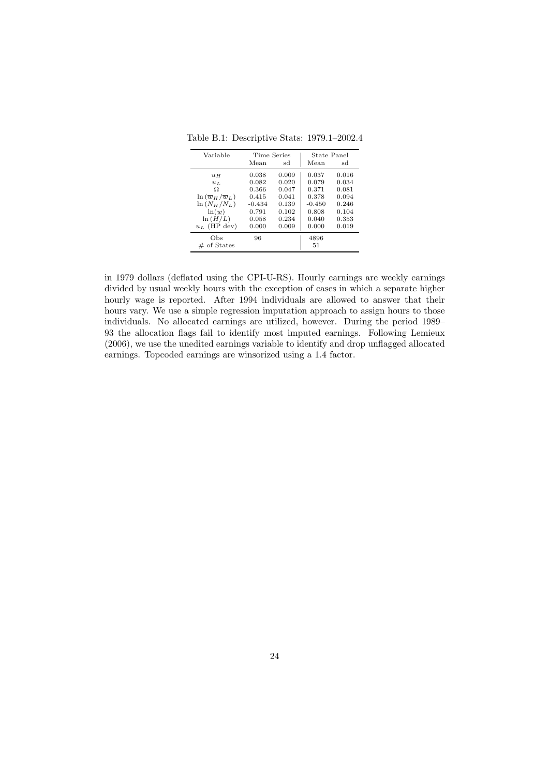Table B.1: Descriptive Stats: 1979.1–2002.4

| Variable                              | Time Series |       | State Panel |       |
|---------------------------------------|-------------|-------|-------------|-------|
|                                       | Mean        | sd    | Mean        | sd    |
| $u_H$                                 | 0.038       | 0.009 | 0.037       | 0.016 |
| $u_L$                                 | 0.082       | 0.020 | 0.079       | 0.034 |
| Ω                                     | 0.366       | 0.047 | 0.371       | 0.081 |
| $\ln (\overline{w}_H/\overline{w}_L)$ | 0.415       | 0.041 | 0.378       | 0.094 |
| $\ln (N_H/N_L)$                       | $-0.434$    | 0.139 | $-0.450$    | 0.246 |
| ln(w)                                 | 0.791       | 0.102 | 0.808       | 0.104 |
| ln(H/L)                               | 0.058       | 0.234 | 0.040       | 0.353 |
| $u_L$ (HP dev)                        | 0.000       | 0.009 | 0.000       | 0.019 |
| Obs                                   | 96          |       | 4896        |       |
| $#$ of States                         |             |       | 51          |       |

in 1979 dollars (deflated using the CPI-U-RS). Hourly earnings are weekly earnings divided by usual weekly hours with the exception of cases in which a separate higher hourly wage is reported. After 1994 individuals are allowed to answer that their hours vary. We use a simple regression imputation approach to assign hours to those individuals. No allocated earnings are utilized, however. During the period 1989– 93 the allocation flags fail to identify most imputed earnings. Following Lemieux (2006), we use the unedited earnings variable to identify and drop unflagged allocated earnings. Topcoded earnings are winsorized using a 1.4 factor.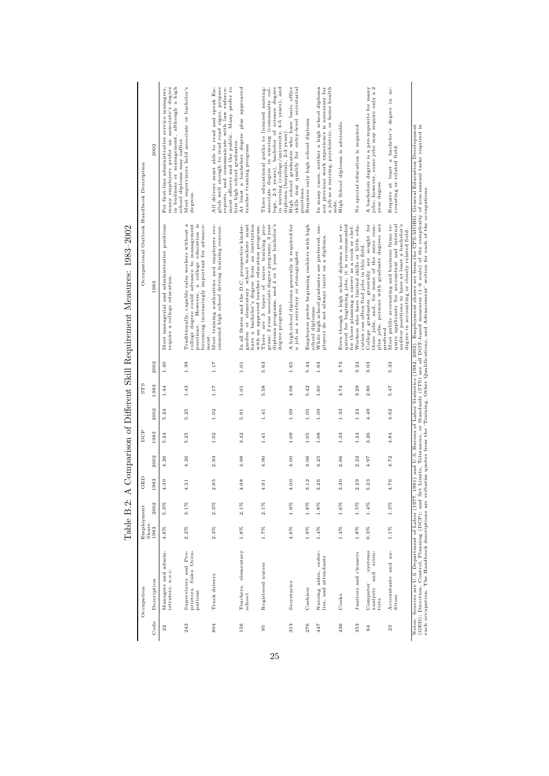| Occupational Outlook Handbook Description            | 2002          | many employers prefer an associate's degree<br>in business or management, although a high<br>For first-line administrative service managers,<br>school diploma may suffice | Most supervisors hold associate or bachelor's<br>degrees.                                                                                                                                                | glish well enough to read road signs, prepare<br>All drivers must able to read and speak En-<br>reports, and communicate with law enforce-<br>ment officers and the public. Many prefer to<br>hire high school graduates. | At least a bachelors degree plus approaved<br>teacher training program                                                                                                                     | lege, 2-3 years), bachelor of science degree<br>in nursing (college/university, 4-5 years), and<br>(community col-<br>Three educational paths to licensed nursing:<br>diploma (hospitals, 2-3 years)<br>associate degree in nursing | High school graduates who have basic office<br>skills may qualify for entry-level secretarial<br>positions. | Requires only high school diploma                                 | In many cases, neither a high school diploma<br>nor previous work experience is necessary for<br>a job as a nursing, psychiatric, or home health<br>aide. | High School diploma is advisable.                                                                                                              | No special education is required                                                            | A bachelors degree is a pre-requisite for many jobs; however, some jobs may require only a $2$<br>year degree                                        | ac-<br>$\Xi$<br>Require at least a bachelor's degree<br>counting or related field.                                                                                                                 | (GED); Direction, Control, Planning (DCP); and Set Limits, Tolerances, or Standards (STS) are all DOT-based measures (1–6 scale) of the complexity of non-manual tasks required in each occupation. The Handbook descriptions |
|------------------------------------------------------|---------------|----------------------------------------------------------------------------------------------------------------------------------------------------------------------------|----------------------------------------------------------------------------------------------------------------------------------------------------------------------------------------------------------|---------------------------------------------------------------------------------------------------------------------------------------------------------------------------------------------------------------------------|--------------------------------------------------------------------------------------------------------------------------------------------------------------------------------------------|-------------------------------------------------------------------------------------------------------------------------------------------------------------------------------------------------------------------------------------|-------------------------------------------------------------------------------------------------------------|-------------------------------------------------------------------|-----------------------------------------------------------------------------------------------------------------------------------------------------------|------------------------------------------------------------------------------------------------------------------------------------------------|---------------------------------------------------------------------------------------------|------------------------------------------------------------------------------------------------------------------------------------------------------|----------------------------------------------------------------------------------------------------------------------------------------------------------------------------------------------------|-------------------------------------------------------------------------------------------------------------------------------------------------------------------------------------------------------------------------------|
| У Соцративого от Блегени респение день в северно с с | 1983          | Most managerial and administrative positions<br>require a college education.                                                                                               | Traditionally, capable sales workers without a<br>college degree could advance to management<br>a college education is<br>becoming increasingly important for advance-<br>However,<br>positions.<br>ment | Most training authorities and employers rec-<br>ommend high school driving training courses.                                                                                                                              | garden or elementary school teachers must<br>have a bachelor's degree from an institution<br>with an approved teacher education program.<br>In all States and the D.C. prospective kinder- | diploma programs, and 4 or 5 year bachelor's<br>gram: 2 year associate degree programs, 3 year<br>There are 3 types of nurse training pro-<br>degree programs.                                                                      | A high school diploma generally is required for<br>a job as a secretary or stenographer                     | Employers prefer beginning cashiers with high<br>school diplomas. | While high school graduates are preferred, em-<br>ployers do not always insist on a diploma                                                               | quired for beginning jobs, it is recommended<br>Even though a high school diploma is not re-<br>for those planning a career as a cook or chef. | Workers who have limited skills or little edu-<br>cation can often find jobs in this field. | plex jobs, persons with graduate degrees are<br>College graduates generally are sought for<br>these jobs, and, for some of the more com-<br>prefered | auditor positions to have at least a bachelor's<br>quire applicants for accountant and internal<br>Most public accounting and business firms re-<br>degree in accounting or closely related field. | 1991) and U.S. Bureau of Labor Statistics (1982, 2002). Employment shares are from the CFS-MORG. General Education Development                                                                                                |
|                                                      | 2002          | 1.40                                                                                                                                                                       | 1.39                                                                                                                                                                                                     | 1.17                                                                                                                                                                                                                      | $1.01\,$                                                                                                                                                                                   | 5.63                                                                                                                                                                                                                                | 1.65                                                                                                        | 5.44                                                              | $1.63$                                                                                                                                                    | 4.74                                                                                                                                           | 3.24                                                                                        | 3.03                                                                                                                                                 | 5.33                                                                                                                                                                                               |                                                                                                                                                                                                                               |
| STS                                                  | 1983          | 1.44                                                                                                                                                                       | 1.43                                                                                                                                                                                                     | 1.17                                                                                                                                                                                                                      | $1.01\,$                                                                                                                                                                                   | 5.58                                                                                                                                                                                                                                | 4.08                                                                                                        | 5.42                                                              | $1.60\,$                                                                                                                                                  | 4.74                                                                                                                                           | 3.29                                                                                        | 2.80                                                                                                                                                 | 5.47                                                                                                                                                                                               |                                                                                                                                                                                                                               |
|                                                      | 2002          | 5.24                                                                                                                                                                       | 5.25                                                                                                                                                                                                     | 1.02                                                                                                                                                                                                                      | 5.91                                                                                                                                                                                       | 1.41                                                                                                                                                                                                                                | 1.09                                                                                                        | 1.05                                                              | 1.09                                                                                                                                                      | 1.33                                                                                                                                           | 1.24                                                                                        | 4.49                                                                                                                                                 | 4.62                                                                                                                                                                                               |                                                                                                                                                                                                                               |
| DCP                                                  | 1983          | 5.24                                                                                                                                                                       | 5.25                                                                                                                                                                                                     | 1.02                                                                                                                                                                                                                      | 3.42                                                                                                                                                                                       | 1.41                                                                                                                                                                                                                                | 1.09                                                                                                        | 1.05                                                              | $1.08$                                                                                                                                                    | 1.33                                                                                                                                           | 1.24                                                                                        | 3.26                                                                                                                                                 | 4.84                                                                                                                                                                                               |                                                                                                                                                                                                                               |
|                                                      | 2002          | 4.26                                                                                                                                                                       | 4.26                                                                                                                                                                                                     | 2.93                                                                                                                                                                                                                      | 4.98                                                                                                                                                                                       | 4.90                                                                                                                                                                                                                                | 4.00                                                                                                        | 3.06                                                              | 3.25                                                                                                                                                      | 2.66                                                                                                                                           | 2.22                                                                                        | 4.97                                                                                                                                                 | 4.72                                                                                                                                                                                               |                                                                                                                                                                                                                               |
| GED                                                  | 1983          | 4.30                                                                                                                                                                       | 4.31                                                                                                                                                                                                     | 2.95                                                                                                                                                                                                                      | 4.98                                                                                                                                                                                       | 4.91                                                                                                                                                                                                                                | 4.00                                                                                                        | 3.12                                                              | 3.26                                                                                                                                                      | 3.30                                                                                                                                           | 2.29                                                                                        | 5.23                                                                                                                                                 | 4.76                                                                                                                                                                                               |                                                                                                                                                                                                                               |
|                                                      | 2002          | $5.3\%$                                                                                                                                                                    | $3.1\%$                                                                                                                                                                                                  | 2.3%                                                                                                                                                                                                                      | $2.1\%$                                                                                                                                                                                    | $2.1\%$                                                                                                                                                                                                                             | 1.9%                                                                                                        | 1.8%                                                              | 1.8%                                                                                                                                                      | $1.6\%$                                                                                                                                        | $1.5\%$                                                                                     | 1.4%                                                                                                                                                 | $1.3\%$                                                                                                                                                                                            |                                                                                                                                                                                                                               |
| Lable D.Z.<br>Employment                             | Share<br>1983 | 4.6%                                                                                                                                                                       | $2.2\%$                                                                                                                                                                                                  | 2.3%                                                                                                                                                                                                                      | $1.8\%$                                                                                                                                                                                    | $1.7\%$                                                                                                                                                                                                                             | $4.6\%$                                                                                                     | $1.9\%$                                                           | $1.4\%$                                                                                                                                                   | $1.4\%$                                                                                                                                        | $1.8\%$                                                                                     | 0.3%                                                                                                                                                 | $1.1\%$                                                                                                                                                                                            |                                                                                                                                                                                                                               |
| Occupation                                           | Description   | Managers and admin-<br>istrators, n.e.c.                                                                                                                                   | Supervisors and Pro-<br>prietors, Sales Occu-<br>pations                                                                                                                                                 | Truck drivers                                                                                                                                                                                                             | Teachers, elementary<br>school                                                                                                                                                             | Registered nurses                                                                                                                                                                                                                   | Secretaries                                                                                                 | Cashiers                                                          | Nursing aides, order-<br>lies, and attendants                                                                                                             | Cooks                                                                                                                                          | Janitors and cleaners                                                                       | systems<br>scien-<br>and<br>Computer<br>analysts<br>tists                                                                                            | Accountants and au-<br>ditors                                                                                                                                                                      | Notes: Sources are U.S. Department of Labor (1977                                                                                                                                                                             |
|                                                      | Code          | $^{22}$                                                                                                                                                                    | 243                                                                                                                                                                                                      | 804                                                                                                                                                                                                                       | 156                                                                                                                                                                                        | $\overline{95}$                                                                                                                                                                                                                     | 313                                                                                                         | 276                                                               | 447                                                                                                                                                       | 436                                                                                                                                            | 453                                                                                         | 64                                                                                                                                                   | 23                                                                                                                                                                                                 |                                                                                                                                                                                                                               |

of  $\Gamma$ ifferent Skill Requirement Measures:  $1083-2002$ Table B.2: A Comparison of Different Skill Requirement Measures: 1983–2002  $\frac{1}{2}$ Table B  $2 \cdot 4$  Co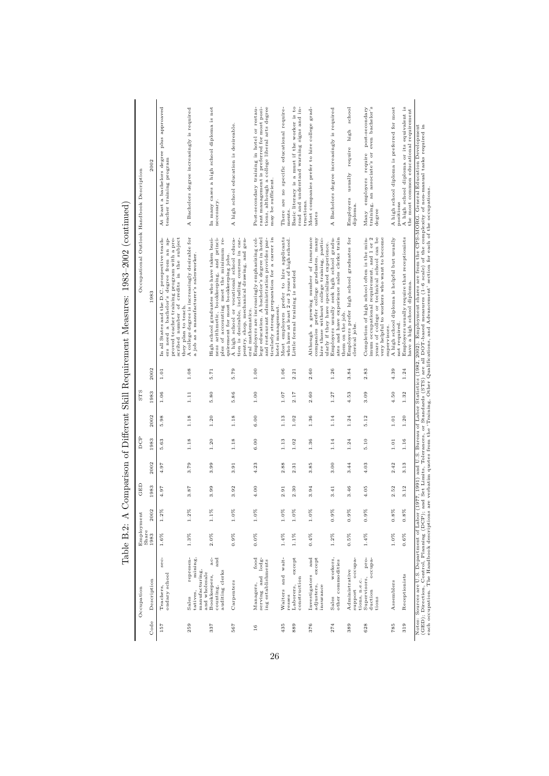|            | Occupation                                                                   | Share              | Employment         | GED          |              | DCP          |              | STS          |              | Occupational Outlook Handbook Description                                                                                                                                                                       |                                                                                                                                                                   |
|------------|------------------------------------------------------------------------------|--------------------|--------------------|--------------|--------------|--------------|--------------|--------------|--------------|-----------------------------------------------------------------------------------------------------------------------------------------------------------------------------------------------------------------|-------------------------------------------------------------------------------------------------------------------------------------------------------------------|
| Code       | Description                                                                  | 1983               | 2002               | 1983         | 2002         | 1983         | 2002         | 1983         | 2002         | 1983                                                                                                                                                                                                            | 2002                                                                                                                                                              |
| 157        | sec-<br>ondary school<br>Teachers,                                           | $1.6\%$            | $1.2\%$            | 4.97         | 4.97         | 5.63         | 5.98         | 1.06         | 1.01         | scribed number of credits in the subject<br>In all States and the D.C. prospective teach-<br>proved teacher training program with a pre-<br>bachelor's degree from an ap-<br>they plan to teach.<br>ers need a  | At least a bachelors degree plus approaved<br>teacher training program                                                                                            |
| 259        | mining,<br>represen-<br>manufacturing,<br>and wholesale<br>tatives,<br>Sales | $1.3\%$            | $1.2\%$            | 3.87         | 3.79         | 1.18         | 1.18         | 1.11         | 1.08         | A college degree is increasingly desirable for<br>a job as a manufacturer's salesworker.                                                                                                                        | A Bachelors degree increasingly is required                                                                                                                       |
| 337        | and<br>ac-<br>auditing clerks<br>Bookkeepers,<br>counting,                   | 2.0%               | $1.1\%$            | 3.99         | 3.99         | 1.20         | 1.20         | 5.80         | 5.71         | High school graduates who have taken busi-<br>arithmetic, bookkeeping, and princi-<br>of accounting meet the minimum re-<br>quirement for most bookkeeping jobs.<br>ness<br>ples                                | In many cases a high school diploma is not<br>necessary.                                                                                                          |
| 567        | Carpenters                                                                   | $0.9\%$            | $1.0\%$            | 3.92         | 3.91         | 1.18         | 1.18         | 5.86         | 5.79         | A high school or vocational school educa-<br>tion is desirable, including courses in car-<br>pentry, shop, mechanical drawing, and gen-<br>eral mathematics.                                                    | A high school education is desireable.                                                                                                                            |
| 16         | food<br>serving and lodg-<br>ing establishments<br>Managers,                 | $0.0\%$            | $1.0\%$            | 4.00         | 4.23         | 6.00         | 6.00         | $1.00\,$     | $1.00$       | Employers are increasingly emphasizing col-<br>ticularly strong preparation for a career in<br>lege education. A bachelor's degree in hotel<br>and restaurant administration provides par-<br>hotel management. | tions, although a college liberal arts degree<br>Post-secondary training in hotel or restau-<br>rant management is preferred for most posi-<br>may be sufficient. |
| 435<br>889 | $exc$ ept<br>Waiters and wait-<br>construction<br>Laborers,<br>resses        | $1.4\%$<br>$1.1\%$ | $1.0\%$<br>$1.0\%$ | 2.30<br>2.91 | 2.88<br>2.31 | 1.13<br>1.02 | 1.13<br>1.02 | 1.07<br>2.17 | 1.06<br>2.21 | Most employers prefer to hire applicants<br>who have at least 2 or 3 years of high school.<br>Little formal training is needed                                                                                  | Basic literacy is a must if the worker is to<br>There are no specific educational require-<br>read and understand warning signs and in-<br>tructions.<br>ments    |
| 376        | ${\tt except}$<br>and<br>Investigators<br>adjusters,<br>insurance            | 0.4%               | $1.0\%$            | 3.94         | 3.85         | 1.36         | 1.36         | 2.60         | 2.60         | Although a growing number of insurance<br>hire those without college training, partic-<br>companies prefer college graduates, many<br>ularly if they have specialized experience.                               | Most companies prefer to hire college grad-<br>uates                                                                                                              |
| 274        | workers,<br>other commodities<br>Sales                                       | $1.2\%$            | $0.9\%$            | 3.41         | 3.00         | 1.14         | $1.14\,$     | 1.27         | 1.26         | Employers usually seek hgih school gradu-<br>ates and have experience sales clerks train<br>them on the job.                                                                                                    | A Bachelors degree increasingly is required                                                                                                                       |
| 389        | occupa-<br>Administrative<br>tions, n.e.c.<br>support                        | $0.5\%$            | 0.9%               | 3.46         | 3.44         | 1.24         | 1.24         | 4.53         | 3.84         | Employers prefer high school graduates for<br>clerical jobs.                                                                                                                                                    | school<br>high<br>require<br>$u$ sually<br>Employers<br>diploma.                                                                                                  |
| 628        | pro-<br>occupa-<br>Supervisors,<br>duction<br>tions                          | $1.4\%$            | 0.9%               | 4.05         | 4.03         | 5.10         | 5.12         | 3.09         | 2.83         | imum occupational requirement, and 1 or 2<br>years of college or technical school can be<br>very helpful to workers who want to become<br>Completion of high school often is the min-<br>supervisors.           | $\begin{tabular}{ll} post-secondary \\ even & back-lo & \\ \end{tabular}$<br>require<br>training, an associate's or<br>employers<br>degree<br>Many                |
| 785        | Assemblers                                                                   | $1.0\%$            | $0.8\%$            | 2.52         | 2.42         | 1.01         | $1.01\,$     | 4.50         | 4.39         | A high school diploma is helpful but usually<br>not required.                                                                                                                                                   | A high school diploma is preferred for most<br>positions                                                                                                          |
| 319        | Receptionists                                                                | 0.6%               | 0.8%               | 3.12         | 3.13         | $1.16$       | $1.20$       | 1.32         | 1.24         | Employers usually require that receptionists<br>have a high school diploma.                                                                                                                                     | A high school diploma or its equivalent is<br>the most common educational requirement                                                                             |

26

 $\tilde{z}$ Table B.2: A Comparison of Different Skill Requirement Measures: 1983–2002 (continued) ÷  $1002200006$  $\cdot$  M  $\cdot$ ÷  $\mathbf{C}$  Tiffconcat Clil Do  $\cdot$ :  $T<sub>ch</sub>$   $\alpha$   $\beta$   $\alpha$   $\beta$ 

(GED); Direction, Control, Planning (DCP); and Set Limits, Tolerances, or Standards (STS) are all DOT-based measures (1–6 scale) of the complexity of non-manual tasks required in each occupation. The Handbook descriptions are verbatim quotes from the 'Training, Other Qualifications, and Advancement' section for each of the occupations.

Notes: Sources are U.S. Department of Labor (1977, 1991) and U.S. Bureau of Labor Statistics (1982, 2002). Employment shares are from the CPS-MORG. General Education Development<br>(GED); Direction, Control, Planning (DCP); a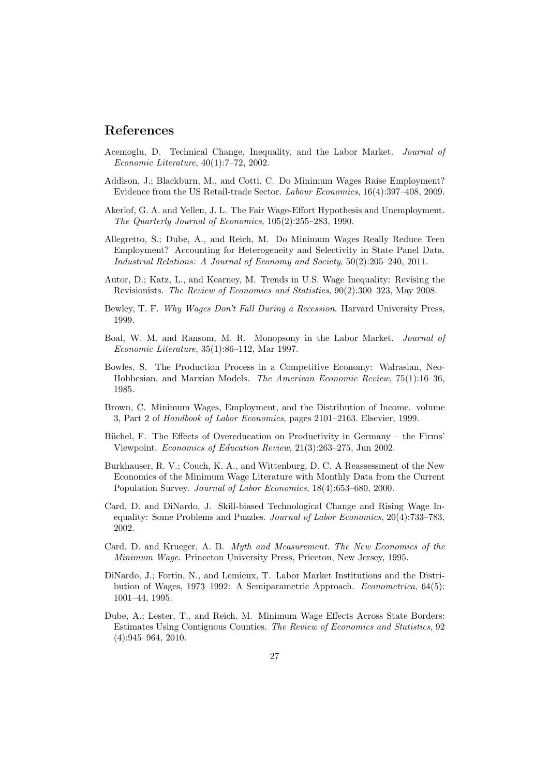#### References

- Acemoglu, D. Technical Change, Inequality, and the Labor Market. Journal of Economic Literature, 40(1):7–72, 2002.
- Addison, J.; Blackburn, M., and Cotti, C. Do Minimum Wages Raise Employment? Evidence from the US Retail-trade Sector. Labour Economics, 16(4):397–408, 2009.
- Akerlof, G. A. and Yellen, J. L. The Fair Wage-Effort Hypothesis and Unemployment. The Quarterly Journal of Economics, 105(2):255–283, 1990.
- Allegretto, S.; Dube, A., and Reich, M. Do Minimum Wages Really Reduce Teen Employment? Accounting for Heterogeneity and Selectivity in State Panel Data. Industrial Relations: A Journal of Economy and Society, 50(2):205–240, 2011.
- Autor, D.; Katz, L., and Kearney, M. Trends in U.S. Wage Inequality: Revising the Revisionists. The Review of Economics and Statistics, 90(2):300–323, May 2008.
- Bewley, T. F. Why Wages Don't Fall During a Recession. Harvard University Press, 1999.
- Boal, W. M. and Ransom, M. R. Monopsony in the Labor Market. Journal of Economic Literature, 35(1):86–112, Mar 1997.
- Bowles, S. The Production Process in a Competitive Economy: Walrasian, Neo-Hobbesian, and Marxian Models. The American Economic Review, 75(1):16–36, 1985.
- Brown, C. Minimum Wages, Employment, and the Distribution of Income. volume 3, Part 2 of Handbook of Labor Economics, pages 2101–2163. Elsevier, 1999.
- Büchel, F. The Effects of Overeducation on Productivity in Germany the Firms' Viewpoint. Economics of Education Review, 21(3):263–275, Jun 2002.
- Burkhauser, R. V.; Couch, K. A., and Wittenburg, D. C. A Reassessment of the New Economics of the Minimum Wage Literature with Monthly Data from the Current Population Survey. Journal of Labor Economics, 18(4):653–680, 2000.
- Card, D. and DiNardo, J. Skill-biased Technological Change and Rising Wage Inequality: Some Problems and Puzzles. Journal of Labor Economics, 20(4):733–783, 2002.
- Card, D. and Krueger, A. B. Myth and Measurement. The New Economics of the Minimum Wage. Princeton University Press, Priceton, New Jersey, 1995.
- DiNardo, J.; Fortin, N., and Lemieux, T. Labor Market Institutions and the Distribution of Wages, 1973–1992: A Semiparametric Approach. Econometrica, 64(5): 1001–44, 1995.
- Dube, A.; Lester, T., and Reich, M. Minimum Wage Effects Across State Borders: Estimates Using Contiguous Counties. The Review of Economics and Statistics, 92 (4):945–964, 2010.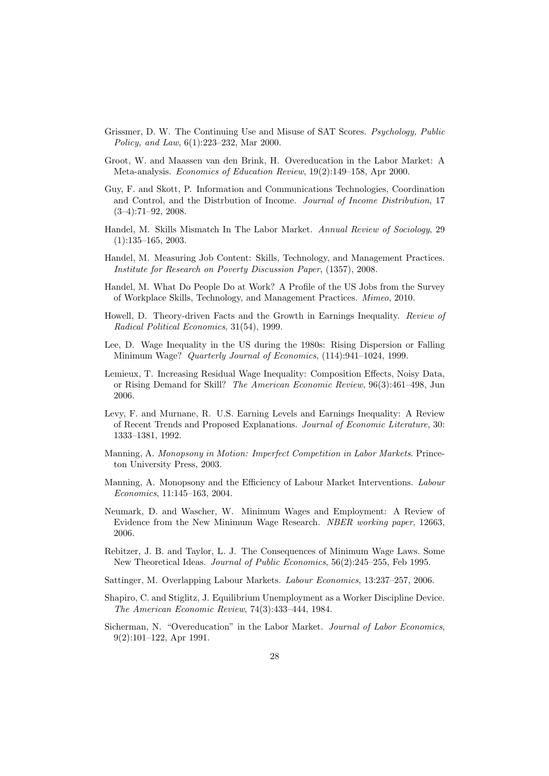- Grissmer, D. W. The Continuing Use and Misuse of SAT Scores. Psychology, Public Policy, and Law, 6(1):223–232, Mar 2000.
- Groot, W. and Maassen van den Brink, H. Overeducation in the Labor Market: A Meta-analysis. Economics of Education Review, 19(2):149–158, Apr 2000.
- Guy, F. and Skott, P. Information and Communications Technologies, Coordination and Control, and the Distrbution of Income. Journal of Income Distribution, 17  $(3-4):71-92, 2008.$
- Handel, M. Skills Mismatch In The Labor Market. Annual Review of Sociology, 29 (1):135–165, 2003.
- Handel, M. Measuring Job Content: Skills, Technology, and Management Practices. Institute for Research on Poverty Discussion Paper, (1357), 2008.
- Handel, M. What Do People Do at Work? A Profile of the US Jobs from the Survey of Workplace Skills, Technology, and Management Practices. Mimeo, 2010.
- Howell, D. Theory-driven Facts and the Growth in Earnings Inequality. Review of Radical Political Economics, 31(54), 1999.
- Lee, D. Wage Inequality in the US during the 1980s: Rising Dispersion or Falling Minimum Wage? Quarterly Journal of Economics, (114):941–1024, 1999.
- Lemieux, T. Increasing Residual Wage Inequality: Composition Effects, Noisy Data, or Rising Demand for Skill? The American Economic Review, 96(3):461–498, Jun 2006.
- Levy, F. and Murnane, R. U.S. Earning Levels and Earnings Inequality: A Review of Recent Trends and Proposed Explanations. Journal of Economic Literature, 30: 1333–1381, 1992.
- Manning, A. Monopsony in Motion: Imperfect Competition in Labor Markets. Princeton University Press, 2003.
- Manning, A. Monopsony and the Efficiency of Labour Market Interventions. Labour Economics, 11:145–163, 2004.
- Neumark, D. and Wascher, W. Minimum Wages and Employment: A Review of Evidence from the New Minimum Wage Research. NBER working paper, 12663, 2006.
- Rebitzer, J. B. and Taylor, L. J. The Consequences of Minimum Wage Laws. Some New Theoretical Ideas. Journal of Public Economics, 56(2):245–255, Feb 1995.
- Sattinger, M. Overlapping Labour Markets. Labour Economics, 13:237–257, 2006.
- Shapiro, C. and Stiglitz, J. Equilibrium Unemployment as a Worker Discipline Device. The American Economic Review, 74(3):433–444, 1984.
- Sicherman, N. "Overeducation" in the Labor Market. Journal of Labor Economics, 9(2):101–122, Apr 1991.